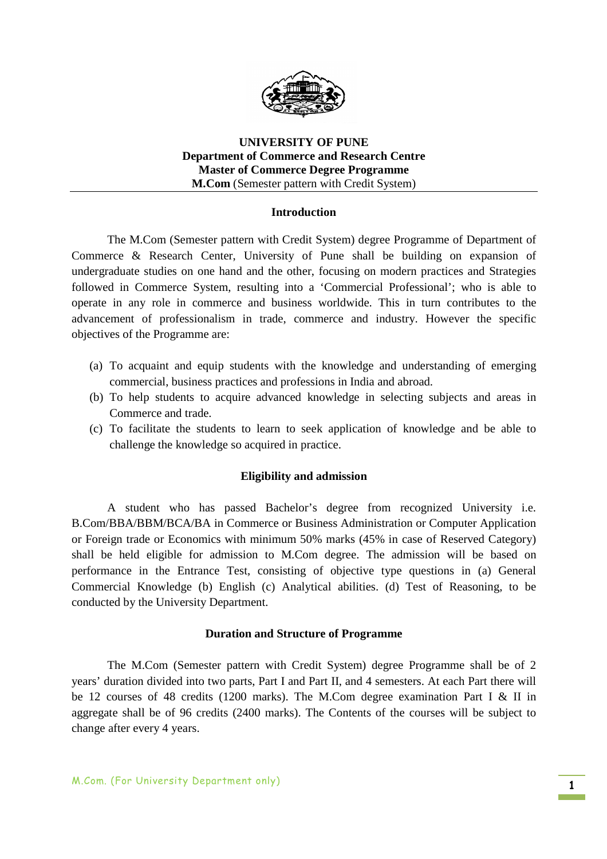

### **UNIVERSITY OF PUNE Department of Commerce and Research Centre Master of Commerce Degree Programme M.Com** (Semester pattern with Credit System)

### **Introduction**

The M.Com (Semester pattern with Credit System) degree Programme of Department of Commerce & Research Center, University of Pune shall be building on expansion of undergraduate studies on one hand and the other, focusing on modern practices and Strategies followed in Commerce System, resulting into a 'Commercial Professional'; who is able to operate in any role in commerce and business worldwide. This in turn contributes to the advancement of professionalism in trade, commerce and industry. However the specific objectives of the Programme are:

- (a) To acquaint and equip students with the knowledge and understanding of emerging commercial, business practices and professions in India and abroad.
- (b) To help students to acquire advanced knowledge in selecting subjects and areas in Commerce and trade.
- (c) To facilitate the students to learn to seek application of knowledge and be able to challenge the knowledge so acquired in practice.

#### **Eligibility and admission**

A student who has passed Bachelor's degree from recognized University i.e. B.Com/BBA/BBM/BCA/BA in Commerce or Business Administration or Computer Application or Foreign trade or Economics with minimum 50% marks (45% in case of Reserved Category) shall be held eligible for admission to M.Com degree. The admission will be based on performance in the Entrance Test, consisting of objective type questions in (a) General Commercial Knowledge (b) English (c) Analytical abilities. (d) Test of Reasoning, to be conducted by the University Department.

#### **Duration and Structure of Programme**

The M.Com (Semester pattern with Credit System) degree Programme shall be of 2 years' duration divided into two parts, Part I and Part II, and 4 semesters. At each Part there will be 12 courses of 48 credits (1200 marks). The M.Com degree examination Part I & II in aggregate shall be of 96 credits (2400 marks). The Contents of the courses will be subject to change after every 4 years.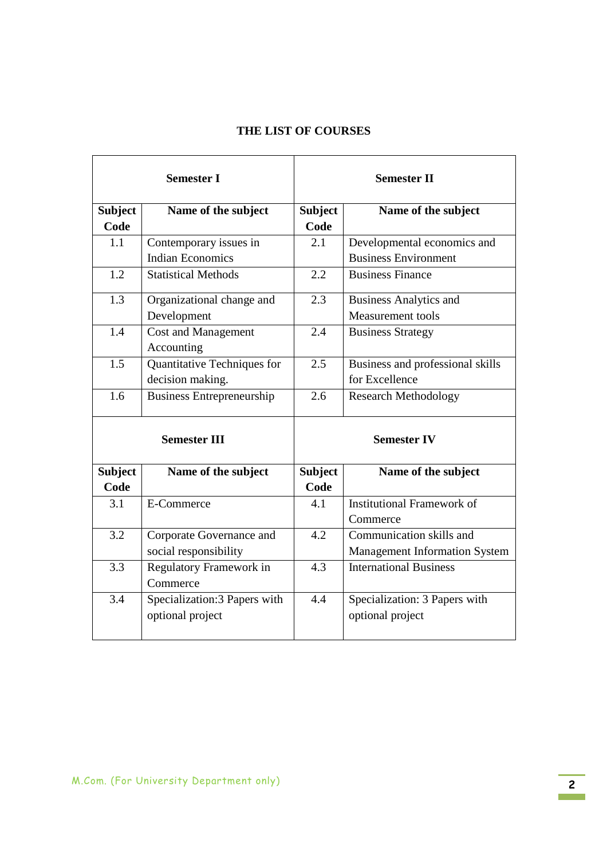## **THE LIST OF COURSES**

| <b>Semester I</b>   |                                  |                | <b>Semester II</b>                   |
|---------------------|----------------------------------|----------------|--------------------------------------|
| <b>Subject</b>      | Name of the subject              | <b>Subject</b> | Name of the subject                  |
| Code                |                                  | Code           |                                      |
| 1.1                 | Contemporary issues in           | 2.1            | Developmental economics and          |
|                     | <b>Indian Economics</b>          |                | <b>Business Environment</b>          |
| 1.2                 | <b>Statistical Methods</b>       | 2.2            | <b>Business Finance</b>              |
| 1.3                 | Organizational change and        | 2.3            | <b>Business Analytics and</b>        |
|                     | Development                      |                | Measurement tools                    |
| 1.4                 | <b>Cost and Management</b>       | 2.4            | <b>Business Strategy</b>             |
|                     | Accounting                       |                |                                      |
| 1.5                 | Quantitative Techniques for      | 2.5            | Business and professional skills     |
|                     | decision making.                 |                | for Excellence                       |
| 1.6                 | <b>Business Entrepreneurship</b> | 2.6            | <b>Research Methodology</b>          |
| <b>Semester III</b> |                                  |                | <b>Semester IV</b>                   |
| <b>Subject</b>      | Name of the subject              | <b>Subject</b> | Name of the subject                  |
| Code                |                                  | Code           |                                      |
| 3.1                 | E-Commerce                       | 4.1            | <b>Institutional Framework of</b>    |
|                     |                                  |                | Commerce                             |
| 3.2                 | Corporate Governance and         | 4.2            | Communication skills and             |
|                     | social responsibility            |                | <b>Management Information System</b> |
| 3.3                 | Regulatory Framework in          | 4.3            | <b>International Business</b>        |
|                     | Commerce                         |                |                                      |
| 3.4                 | Specialization:3 Papers with     | 4.4            | Specialization: 3 Papers with        |
|                     | optional project                 |                | optional project                     |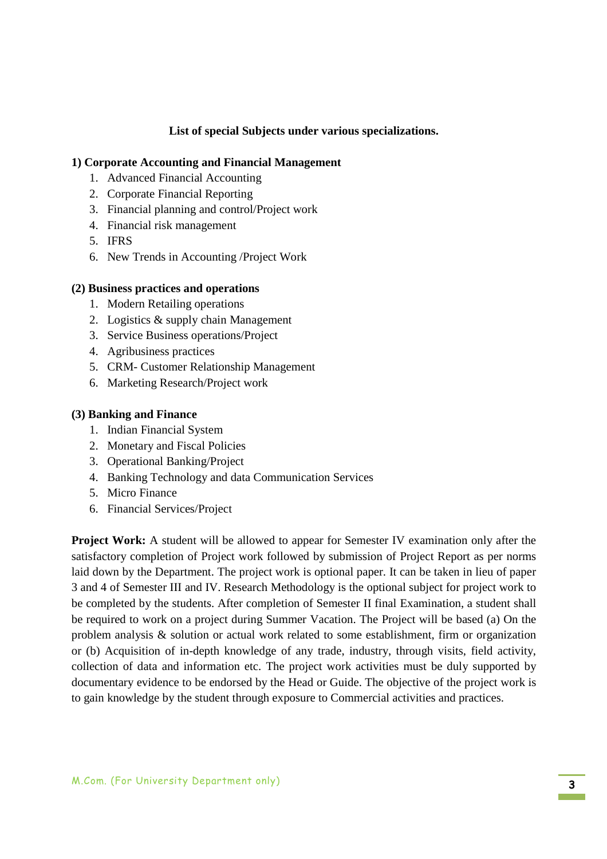### **List of special Subjects under various specializations.**

#### **1) Corporate Accounting and Financial Management**

- 1. Advanced Financial Accounting
- 2. Corporate Financial Reporting
- 3. Financial planning and control/Project work
- 4. Financial risk management
- 5. IFRS
- 6. New Trends in Accounting /Project Work

### **(2) Business practices and operations**

- 1. Modern Retailing operations
- 2. Logistics & supply chain Management
- 3. Service Business operations/Project
- 4. Agribusiness practices
- 5. CRM- Customer Relationship Management
- 6. Marketing Research/Project work

#### **(3) Banking and Finance**

- 1. Indian Financial System
- 2. Monetary and Fiscal Policies
- 3. Operational Banking/Project
- 4. Banking Technology and data Communication Services
- 5. Micro Finance
- 6. Financial Services/Project

**Project Work:** A student will be allowed to appear for Semester IV examination only after the satisfactory completion of Project work followed by submission of Project Report as per norms laid down by the Department. The project work is optional paper. It can be taken in lieu of paper 3 and 4 of Semester III and IV. Research Methodology is the optional subject for project work to be completed by the students. After completion of Semester II final Examination, a student shall be required to work on a project during Summer Vacation. The Project will be based (a) On the problem analysis & solution or actual work related to some establishment, firm or organization or (b) Acquisition of in-depth knowledge of any trade, industry, through visits, field activity, collection of data and information etc. The project work activities must be duly supported by documentary evidence to be endorsed by the Head or Guide. The objective of the project work is to gain knowledge by the student through exposure to Commercial activities and practices.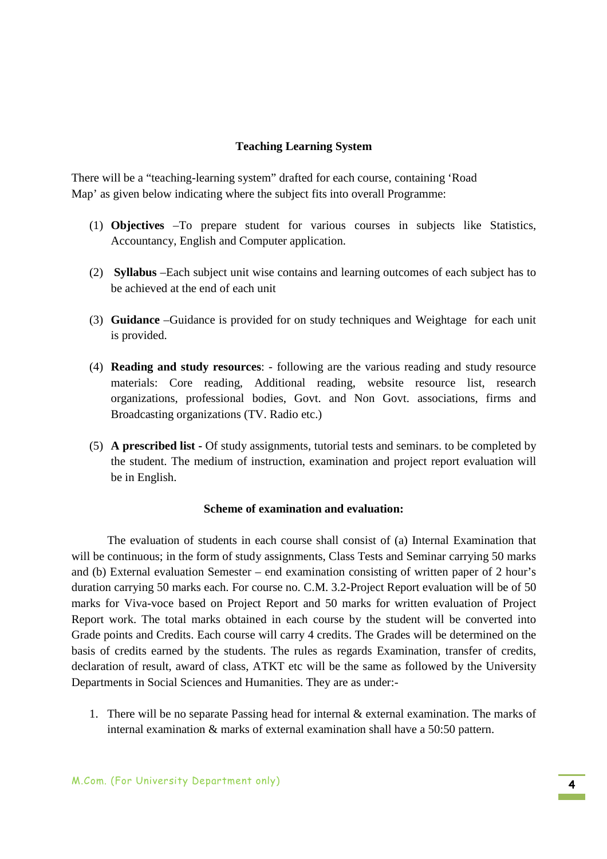### **Teaching Learning System**

There will be a "teaching-learning system" drafted for each course, containing 'Road Map' as given below indicating where the subject fits into overall Programme:

- (1) **Objectives** –To prepare student for various courses in subjects like Statistics, Accountancy, English and Computer application.
- (2) **Syllabus** –Each subject unit wise contains and learning outcomes of each subject has to be achieved at the end of each unit
- (3) **Guidance** –Guidance is provided for on study techniques and Weightage for each unit is provided.
- (4) **Reading and study resources**: following are the various reading and study resource materials: Core reading, Additional reading, website resource list, research organizations, professional bodies, Govt. and Non Govt. associations, firms and Broadcasting organizations (TV. Radio etc.)
- (5) **A prescribed list** Of study assignments, tutorial tests and seminars. to be completed by the student. The medium of instruction, examination and project report evaluation will be in English.

### **Scheme of examination and evaluation:**

The evaluation of students in each course shall consist of (a) Internal Examination that will be continuous; in the form of study assignments, Class Tests and Seminar carrying 50 marks and (b) External evaluation Semester – end examination consisting of written paper of 2 hour's duration carrying 50 marks each. For course no. C.M. 3.2-Project Report evaluation will be of 50 marks for Viva-voce based on Project Report and 50 marks for written evaluation of Project Report work. The total marks obtained in each course by the student will be converted into Grade points and Credits. Each course will carry 4 credits. The Grades will be determined on the basis of credits earned by the students. The rules as regards Examination, transfer of credits, declaration of result, award of class, ATKT etc will be the same as followed by the University Departments in Social Sciences and Humanities. They are as under:-

1. There will be no separate Passing head for internal & external examination. The marks of internal examination & marks of external examination shall have a 50:50 pattern.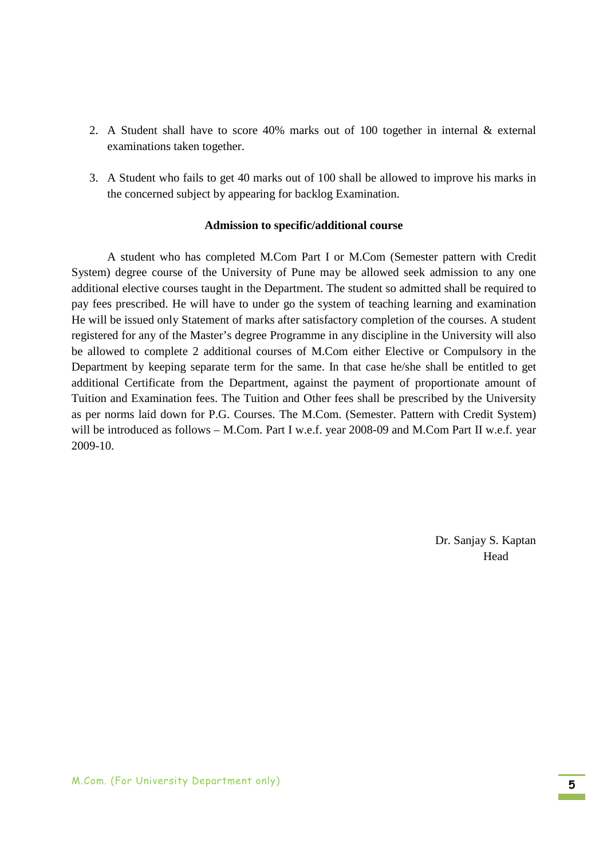- 2. A Student shall have to score 40% marks out of 100 together in internal & external examinations taken together.
- 3. A Student who fails to get 40 marks out of 100 shall be allowed to improve his marks in the concerned subject by appearing for backlog Examination.

#### **Admission to specific/additional course**

A student who has completed M.Com Part I or M.Com (Semester pattern with Credit System) degree course of the University of Pune may be allowed seek admission to any one additional elective courses taught in the Department. The student so admitted shall be required to pay fees prescribed. He will have to under go the system of teaching learning and examination He will be issued only Statement of marks after satisfactory completion of the courses. A student registered for any of the Master's degree Programme in any discipline in the University will also be allowed to complete 2 additional courses of M.Com either Elective or Compulsory in the Department by keeping separate term for the same. In that case he/she shall be entitled to get additional Certificate from the Department, against the payment of proportionate amount of Tuition and Examination fees. The Tuition and Other fees shall be prescribed by the University as per norms laid down for P.G. Courses. The M.Com. (Semester. Pattern with Credit System) will be introduced as follows – M.Com. Part I w.e.f. year 2008-09 and M.Com Part II w.e.f. year 2009-10.

> Dr. Sanjay S. Kaptan Head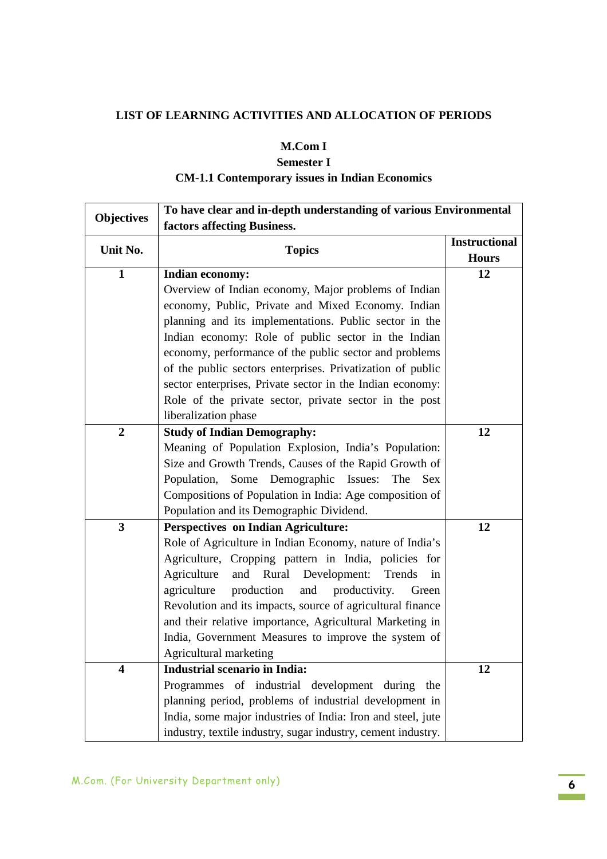## **LIST OF LEARNING ACTIVITIES AND ALLOCATION OF PERIODS**

## **M.Com I**

## **Semester I CM-1.1 Contemporary issues in Indian Economics**

|                         | To have clear and in-depth understanding of various Environmental |                      |  |
|-------------------------|-------------------------------------------------------------------|----------------------|--|
| <b>Objectives</b>       |                                                                   |                      |  |
| Unit No.                |                                                                   | <b>Instructional</b> |  |
|                         | <b>Topics</b>                                                     | <b>Hours</b>         |  |
| $\mathbf{1}$            | <b>Indian economy:</b>                                            | 12                   |  |
|                         | Overview of Indian economy, Major problems of Indian              |                      |  |
|                         | economy, Public, Private and Mixed Economy. Indian                |                      |  |
|                         | planning and its implementations. Public sector in the            |                      |  |
|                         | Indian economy: Role of public sector in the Indian               |                      |  |
|                         | economy, performance of the public sector and problems            |                      |  |
|                         | of the public sectors enterprises. Privatization of public        |                      |  |
|                         | sector enterprises, Private sector in the Indian economy:         |                      |  |
|                         | Role of the private sector, private sector in the post            |                      |  |
|                         | liberalization phase                                              |                      |  |
| $\boldsymbol{2}$        | <b>Study of Indian Demography:</b>                                | 12                   |  |
|                         | Meaning of Population Explosion, India's Population:              |                      |  |
|                         | Size and Growth Trends, Causes of the Rapid Growth of             |                      |  |
|                         | Population, Some Demographic Issues:<br>The<br><b>Sex</b>         |                      |  |
|                         | Compositions of Population in India: Age composition of           |                      |  |
|                         | Population and its Demographic Dividend.                          |                      |  |
| 3                       | <b>Perspectives on Indian Agriculture:</b>                        | 12                   |  |
|                         | Role of Agriculture in Indian Economy, nature of India's          |                      |  |
|                         | Agriculture, Cropping pattern in India, policies for              |                      |  |
|                         | and Rural Development:<br>Agriculture<br>Trends<br>in             |                      |  |
|                         | production<br>agriculture<br>and<br>productivity.<br>Green        |                      |  |
|                         | Revolution and its impacts, source of agricultural finance        |                      |  |
|                         | and their relative importance, Agricultural Marketing in          |                      |  |
|                         | India, Government Measures to improve the system of               |                      |  |
|                         | Agricultural marketing                                            |                      |  |
| $\overline{\mathbf{4}}$ | <b>Industrial scenario in India:</b>                              | 12                   |  |
|                         | Programmes of industrial development during the                   |                      |  |
|                         | planning period, problems of industrial development in            |                      |  |
|                         | India, some major industries of India: Iron and steel, jute       |                      |  |
|                         | industry, textile industry, sugar industry, cement industry.      |                      |  |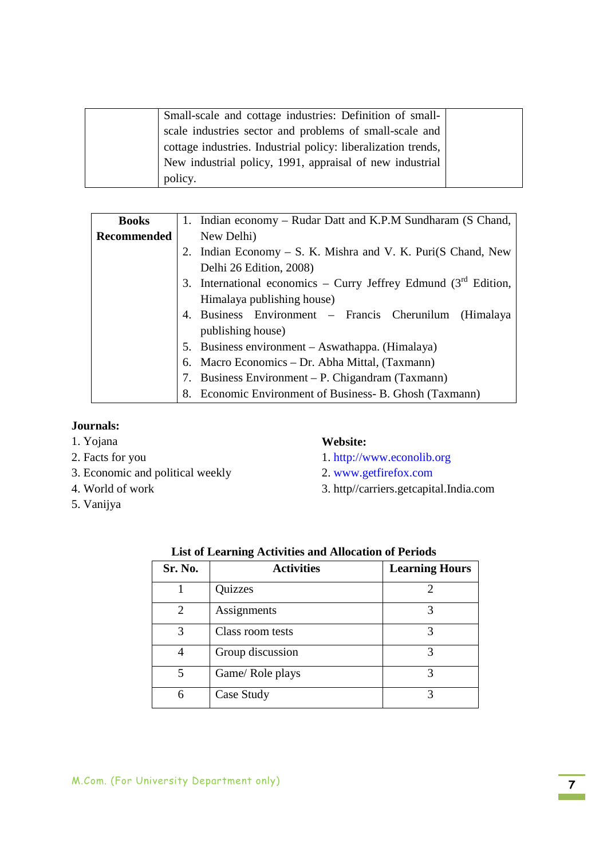| Small-scale and cottage industries: Definition of small-      |  |
|---------------------------------------------------------------|--|
| scale industries sector and problems of small-scale and       |  |
| cottage industries. Industrial policy: liberalization trends, |  |
| New industrial policy, 1991, appraisal of new industrial      |  |
| policy.                                                       |  |

| <b>Books</b>       |    | 1. Indian economy – Rudar Datt and K.P.M Sundharam (S Chand,      |  |
|--------------------|----|-------------------------------------------------------------------|--|
| <b>Recommended</b> |    | New Delhi)                                                        |  |
|                    |    | 2. Indian Economy – S. K. Mishra and V. K. Puri(S Chand, New      |  |
|                    |    | Delhi 26 Edition, 2008)                                           |  |
|                    |    | 3. International economics – Curry Jeffrey Edmund $(3rd$ Edition, |  |
|                    |    | Himalaya publishing house)                                        |  |
|                    |    | 4. Business Environment – Francis Cherunilum (Himalaya            |  |
|                    |    | publishing house)                                                 |  |
|                    |    | 5. Business environment – Aswathappa. (Himalaya)                  |  |
|                    |    | 6. Macro Economics – Dr. Abha Mittal, (Taxmann)                   |  |
|                    | 7. | Business Environment – P. Chigandram (Taxmann)                    |  |
|                    |    | 8. Economic Environment of Business- B. Ghosh (Taxmann)           |  |

## **Journals:**

- 1. Yojana
- 2. Facts for you
- 3. Economic and political weekly
- 4. World of work
- 5. Vanijya

### **Website:**

- 1. http://www.econolib.org
- 2. www.getfirefox.com
- 3. http//carriers.getcapital.India.com

| Sr. No.        | <b>Activities</b> | <b>Learning Hours</b> |
|----------------|-------------------|-----------------------|
|                | Quizzes           | ∍                     |
| $\mathfrak{D}$ | Assignments       | 3                     |
| 3              | Class room tests  | 3                     |
|                | Group discussion  | 3                     |
| 5              | Game/Role plays   | 3                     |
| 6              | Case Study        | 3                     |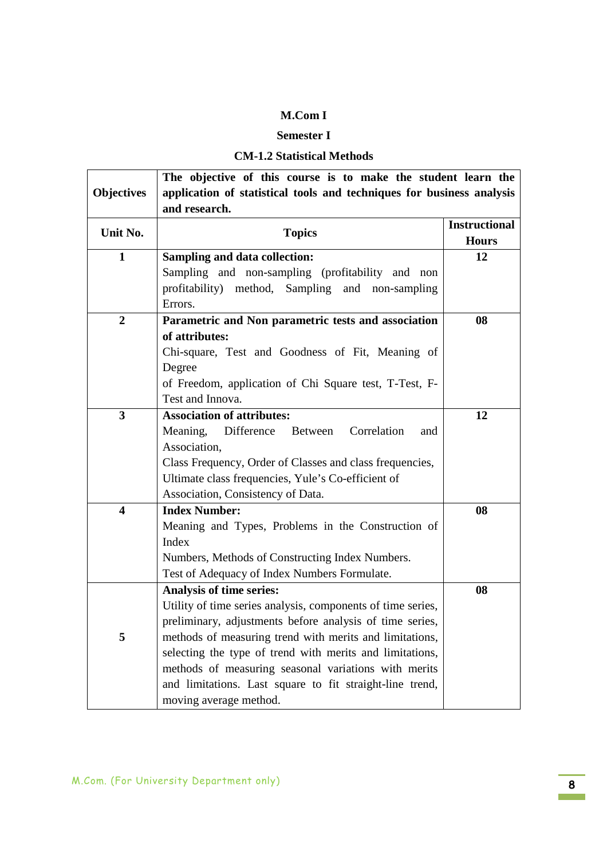## **Semester I**

## **CM-1.2 Statistical Methods**

| <b>Objectives</b>       | The objective of this course is to make the student learn the<br>application of statistical tools and techniques for business analysis<br>and research. |                                      |
|-------------------------|---------------------------------------------------------------------------------------------------------------------------------------------------------|--------------------------------------|
| Unit No.                | <b>Topics</b>                                                                                                                                           | <b>Instructional</b><br><b>Hours</b> |
| $\mathbf{1}$            | <b>Sampling and data collection:</b>                                                                                                                    | 12                                   |
|                         | Sampling and non-sampling (profitability and non<br>profitability) method, Sampling and non-sampling<br>Errors.                                         |                                      |
| $\boldsymbol{2}$        | Parametric and Non parametric tests and association                                                                                                     | 08                                   |
|                         | of attributes:                                                                                                                                          |                                      |
|                         | Chi-square, Test and Goodness of Fit, Meaning of                                                                                                        |                                      |
|                         | Degree                                                                                                                                                  |                                      |
|                         | of Freedom, application of Chi Square test, T-Test, F-                                                                                                  |                                      |
|                         | Test and Innova.                                                                                                                                        |                                      |
| 3                       | <b>Association of attributes:</b>                                                                                                                       | 12                                   |
|                         | Meaning,<br>Difference<br>Between<br>Correlation<br>and<br>Association,                                                                                 |                                      |
|                         | Class Frequency, Order of Classes and class frequencies,                                                                                                |                                      |
|                         | Ultimate class frequencies, Yule's Co-efficient of                                                                                                      |                                      |
|                         | Association, Consistency of Data.                                                                                                                       |                                      |
| $\overline{\mathbf{4}}$ | <b>Index Number:</b>                                                                                                                                    | 08                                   |
|                         | Meaning and Types, Problems in the Construction of                                                                                                      |                                      |
|                         | Index                                                                                                                                                   |                                      |
|                         | Numbers, Methods of Constructing Index Numbers.                                                                                                         |                                      |
|                         | Test of Adequacy of Index Numbers Formulate.                                                                                                            |                                      |
|                         | <b>Analysis of time series:</b>                                                                                                                         | 08                                   |
|                         | Utility of time series analysis, components of time series,                                                                                             |                                      |
|                         | preliminary, adjustments before analysis of time series,                                                                                                |                                      |
| 5                       | methods of measuring trend with merits and limitations,                                                                                                 |                                      |
|                         | selecting the type of trend with merits and limitations,                                                                                                |                                      |
|                         | methods of measuring seasonal variations with merits                                                                                                    |                                      |
|                         | and limitations. Last square to fit straight-line trend,                                                                                                |                                      |
|                         | moving average method.                                                                                                                                  |                                      |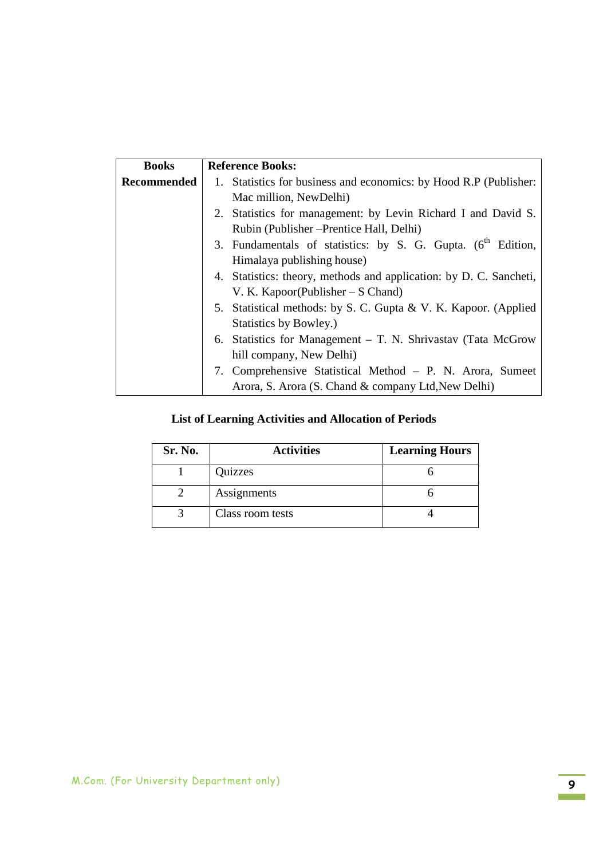| <b>Books</b>       | <b>Reference Books:</b>                                                  |
|--------------------|--------------------------------------------------------------------------|
| <b>Recommended</b> | 1. Statistics for business and economics: by Hood R.P (Publisher:        |
|                    | Mac million, NewDelhi)                                                   |
|                    | 2. Statistics for management: by Levin Richard I and David S.            |
|                    | Rubin (Publisher – Prentice Hall, Delhi)                                 |
|                    | 3. Fundamentals of statistics: by S. G. Gupta. (6 <sup>th</sup> Edition, |
|                    | Himalaya publishing house)                                               |
|                    | 4. Statistics: theory, methods and application: by D. C. Sancheti,       |
|                    | V. K. Kapoor(Publisher $- S$ Chand)                                      |
|                    | 5. Statistical methods: by S. C. Gupta & V. K. Kapoor. (Applied          |
|                    | Statistics by Bowley.)                                                   |
|                    | 6. Statistics for Management $-$ T. N. Shrivastav (Tata McGrow           |
|                    | hill company, New Delhi)                                                 |
|                    | 7. Comprehensive Statistical Method – P. N. Arora, Sumeet                |
|                    | Arora, S. Arora (S. Chand & company Ltd, New Delhi)                      |

| Sr. No. | <b>Activities</b> | <b>Learning Hours</b> |
|---------|-------------------|-----------------------|
|         | Quizzes           |                       |
|         | Assignments       |                       |
|         | Class room tests  |                       |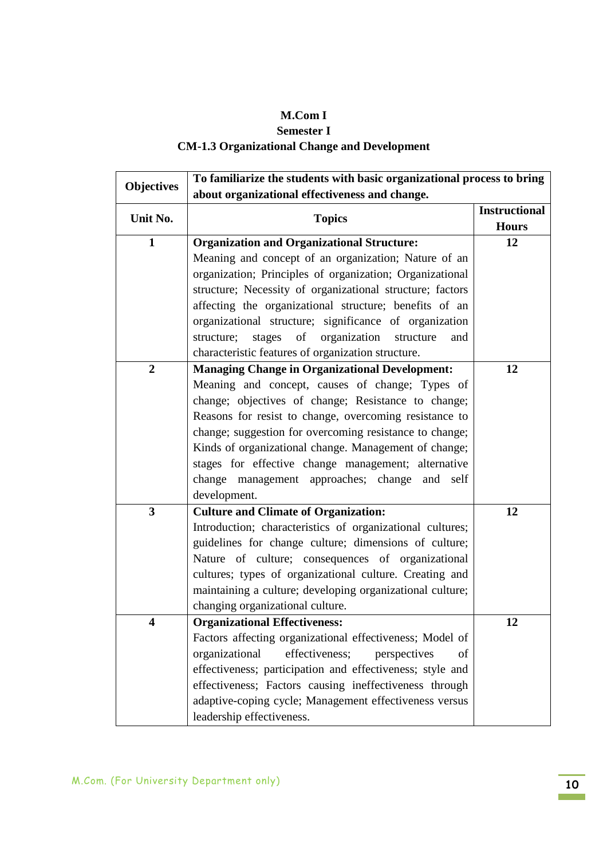## **Semester I**

# **CM-1.3 Organizational Change and Development**

| <b>Objectives</b>         | To familiarize the students with basic organizational process to bring |                      |  |
|---------------------------|------------------------------------------------------------------------|----------------------|--|
|                           | about organizational effectiveness and change.                         |                      |  |
| Unit No.<br><b>Topics</b> |                                                                        | <b>Instructional</b> |  |
|                           |                                                                        | <b>Hours</b>         |  |
| $\mathbf{1}$              | <b>Organization and Organizational Structure:</b>                      | 12                   |  |
|                           | Meaning and concept of an organization; Nature of an                   |                      |  |
|                           | organization; Principles of organization; Organizational               |                      |  |
|                           | structure; Necessity of organizational structure; factors              |                      |  |
|                           | affecting the organizational structure; benefits of an                 |                      |  |
|                           | organizational structure; significance of organization                 |                      |  |
|                           | organization<br>stages<br>of<br>structure;<br>structure<br>and         |                      |  |
|                           | characteristic features of organization structure.                     |                      |  |
| $\boldsymbol{2}$          | <b>Managing Change in Organizational Development:</b>                  | 12                   |  |
|                           | Meaning and concept, causes of change; Types of                        |                      |  |
|                           | change; objectives of change; Resistance to change;                    |                      |  |
|                           | Reasons for resist to change, overcoming resistance to                 |                      |  |
|                           | change; suggestion for overcoming resistance to change;                |                      |  |
|                           | Kinds of organizational change. Management of change;                  |                      |  |
|                           | stages for effective change management; alternative                    |                      |  |
|                           | change management approaches; change and<br>self                       |                      |  |
|                           | development.                                                           |                      |  |
| 3                         | <b>Culture and Climate of Organization:</b>                            | 12                   |  |
|                           | Introduction; characteristics of organizational cultures;              |                      |  |
|                           | guidelines for change culture; dimensions of culture;                  |                      |  |
|                           | Nature of culture; consequences of organizational                      |                      |  |
|                           | cultures; types of organizational culture. Creating and                |                      |  |
|                           | maintaining a culture; developing organizational culture;              |                      |  |
|                           | changing organizational culture.                                       |                      |  |
| 4                         | <b>Organizational Effectiveness:</b>                                   | 12                   |  |
|                           | Factors affecting organizational effectiveness; Model of               |                      |  |
|                           | organizational<br>effectiveness;<br>perspectives<br>of                 |                      |  |
|                           | effectiveness; participation and effectiveness; style and              |                      |  |
|                           | effectiveness; Factors causing ineffectiveness through                 |                      |  |
|                           | adaptive-coping cycle; Management effectiveness versus                 |                      |  |
|                           | leadership effectiveness.                                              |                      |  |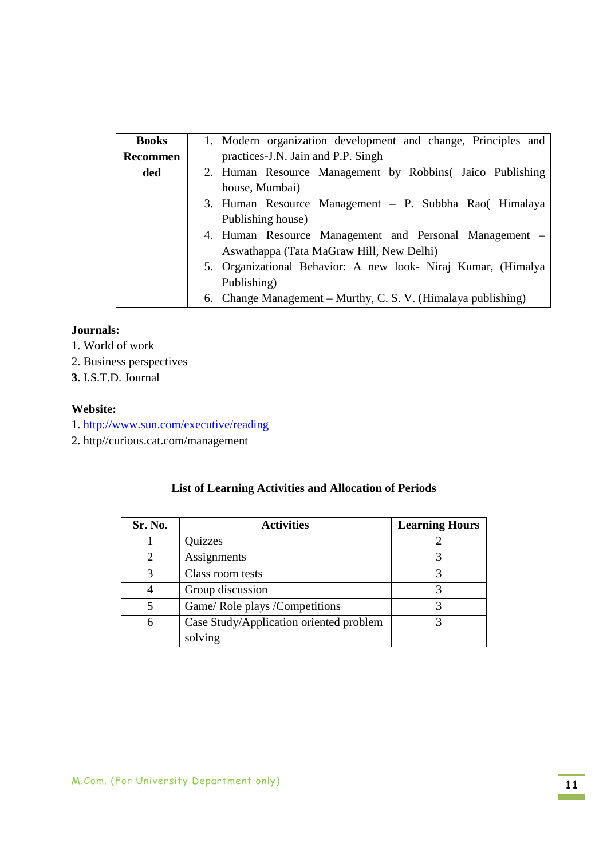| <b>Books</b> | 1. Modern organization development and change, Principles and |  |
|--------------|---------------------------------------------------------------|--|
| Recommen     | practices-J.N. Jain and P.P. Singh                            |  |
| ded          | 2. Human Resource Management by Robbins (Jaico Publishing     |  |
|              | house, Mumbai)                                                |  |
|              | 3. Human Resource Management - P. Subbha Rao( Himalaya        |  |
|              | Publishing house)                                             |  |
|              | 4. Human Resource Management and Personal Management –        |  |
|              | Aswathappa (Tata MaGraw Hill, New Delhi)                      |  |
|              | 5. Organizational Behavior: A new look- Niraj Kumar, (Himalya |  |
|              | Publishing)                                                   |  |
|              | 6. Change Management – Murthy, C. S. V. (Himalaya publishing) |  |

### **Journals:**

- 1. World of work
- 2. Business perspectives
- **3.** I.S.T.D. Journal

### **Website:**

- 1. http://www.sun.com/executive/reading
- 2. http//curious.cat.com/management

| Sr. No. | <b>Activities</b>                       | <b>Learning Hours</b> |
|---------|-----------------------------------------|-----------------------|
|         | Quizzes                                 |                       |
|         | Assignments                             |                       |
| 3       | Class room tests                        |                       |
|         | Group discussion                        |                       |
| 5       | Game/ Role plays / Competitions         |                       |
| 6       | Case Study/Application oriented problem |                       |
|         | solving                                 |                       |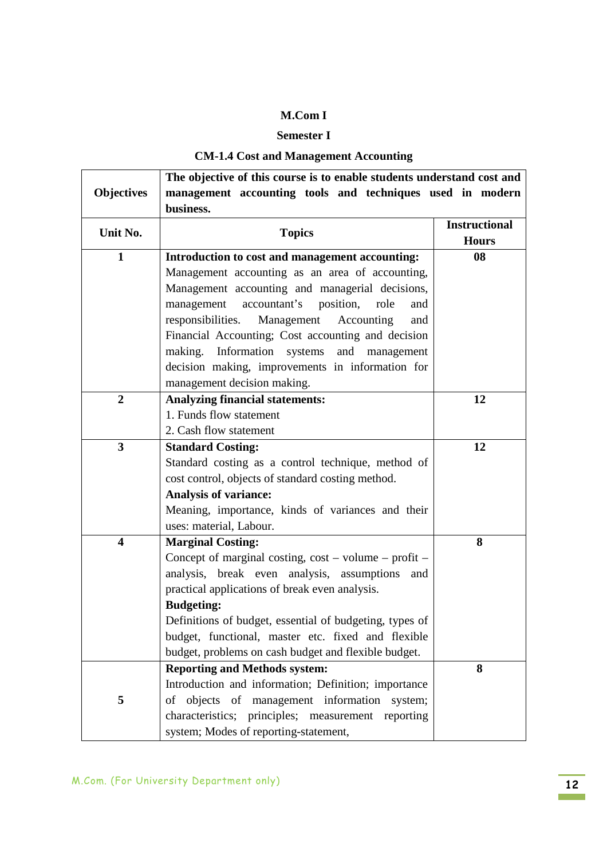## **Semester I**

## **CM-1.4 Cost and Management Accounting**

|                         | The objective of this course is to enable students understand cost and |                      |
|-------------------------|------------------------------------------------------------------------|----------------------|
| <b>Objectives</b>       | management accounting tools and techniques used in modern              |                      |
|                         | business.                                                              |                      |
| Unit No.                | <b>Topics</b>                                                          | <b>Instructional</b> |
|                         |                                                                        | <b>Hours</b>         |
| $\mathbf{1}$            | Introduction to cost and management accounting:                        | 08                   |
|                         | Management accounting as an area of accounting,                        |                      |
|                         | Management accounting and managerial decisions,                        |                      |
|                         | accountant's position,<br>management<br>role<br>and                    |                      |
|                         | Management<br>Accounting<br>responsibilities.<br>and                   |                      |
|                         | Financial Accounting; Cost accounting and decision                     |                      |
|                         | making. Information systems<br>and<br>management                       |                      |
|                         | decision making, improvements in information for                       |                      |
|                         | management decision making.                                            |                      |
| $\boldsymbol{2}$        | <b>Analyzing financial statements:</b>                                 | 12                   |
|                         | 1. Funds flow statement                                                |                      |
|                         | 2. Cash flow statement                                                 |                      |
| $\overline{\mathbf{3}}$ | <b>Standard Costing:</b>                                               | 12                   |
|                         | Standard costing as a control technique, method of                     |                      |
|                         | cost control, objects of standard costing method.                      |                      |
|                         | <b>Analysis of variance:</b>                                           |                      |
|                         | Meaning, importance, kinds of variances and their                      |                      |
|                         | uses: material, Labour.                                                |                      |
| $\overline{\mathbf{4}}$ | <b>Marginal Costing:</b>                                               | 8                    |
|                         | Concept of marginal costing, $cost - volume - profit -$                |                      |
|                         | analysis, break even analysis, assumptions<br>and                      |                      |
|                         | practical applications of break even analysis.                         |                      |
|                         | <b>Budgeting:</b>                                                      |                      |
|                         | Definitions of budget, essential of budgeting, types of                |                      |
|                         | budget, functional, master etc. fixed and flexible                     |                      |
|                         | budget, problems on cash budget and flexible budget.                   |                      |
|                         | <b>Reporting and Methods system:</b>                                   | 8                    |
|                         | Introduction and information; Definition; importance                   |                      |
| 5                       | objects of management information system;<br>οf                        |                      |
|                         | characteristics; principles; measurement reporting                     |                      |
|                         | system; Modes of reporting-statement,                                  |                      |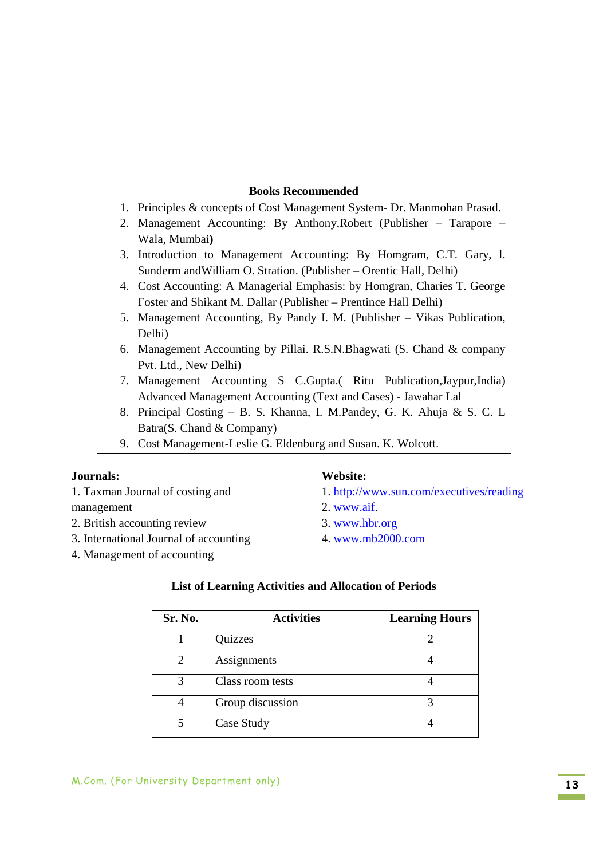## **Books Recommended** 1. Principles & concepts of Cost Management System- Dr. Manmohan Prasad. 2. Management Accounting: By Anthony,Robert (Publisher – Tarapore – Wala, Mumbai**)** 3. Introduction to Management Accounting: By Homgram, C.T. Gary, l. Sunderm andWilliam O. Stration. (Publisher – Orentic Hall, Delhi) 4. Cost Accounting: A Managerial Emphasis: by Homgran, Charies T. George Foster and Shikant M. Dallar (Publisher – Prentince Hall Delhi) 5. Management Accounting, By Pandy I. M. (Publisher – Vikas Publication, Delhi) 6. Management Accounting by Pillai. R.S.N.Bhagwati (S. Chand & company Pvt. Ltd., New Delhi) 7. Management Accounting S C.Gupta.( Ritu Publication,Jaypur,India) Advanced Management Accounting (Text and Cases) - Jawahar Lal 8. Principal Costing – B. S. Khanna, I. M.Pandey, G. K. Ahuja & S. C. L

- Batra(S. Chand & Company)
- 9. Cost Management-Leslie G. Eldenburg and Susan. K. Wolcott.

## **Journals:**

1. Taxman Journal of costing and management

- 2. British accounting review
- 3. International Journal of accounting
- 4. Management of accounting

#### **Website:**

- 1. http://www.sun.com/executives/reading
- 2. www.aif.
- 3. www.hbr.org
- 4. www.mb2000.com

| Sr. No. | <b>Activities</b> | <b>Learning Hours</b> |
|---------|-------------------|-----------------------|
|         | Quizzes           |                       |
| 2       | Assignments       |                       |
| 3       | Class room tests  |                       |
|         | Group discussion  |                       |
|         | Case Study        |                       |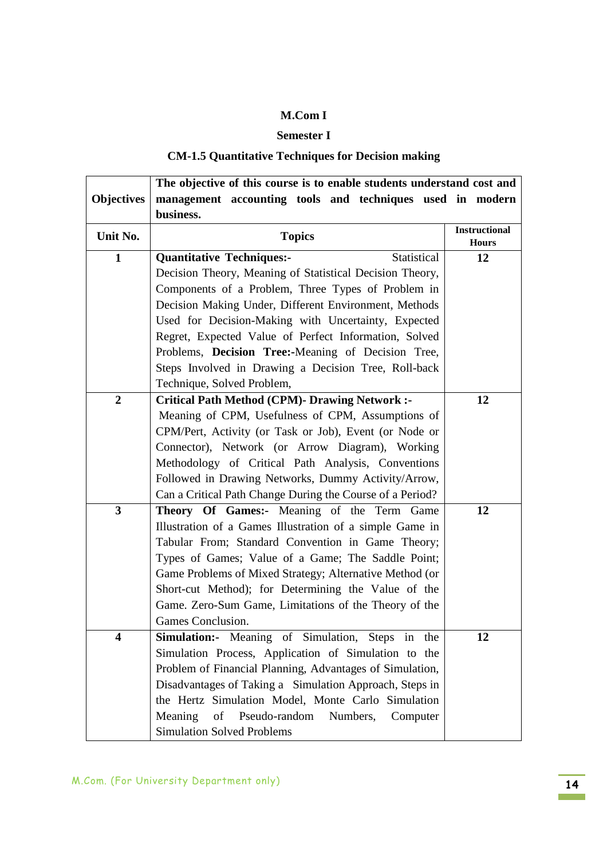## **Semester I**

# **CM-1.5 Quantitative Techniques for Decision making**

| <b>Objectives</b><br>management accounting tools and techniques used in modern                                |  |
|---------------------------------------------------------------------------------------------------------------|--|
|                                                                                                               |  |
| business.                                                                                                     |  |
| <b>Instructional</b><br>Unit No.<br><b>Topics</b><br><b>Hours</b>                                             |  |
| $\mathbf{1}$<br>Statistical<br>12<br><b>Quantitative Techniques:-</b>                                         |  |
| Decision Theory, Meaning of Statistical Decision Theory,                                                      |  |
| Components of a Problem, Three Types of Problem in                                                            |  |
| Decision Making Under, Different Environment, Methods                                                         |  |
| Used for Decision-Making with Uncertainty, Expected                                                           |  |
| Regret, Expected Value of Perfect Information, Solved                                                         |  |
| Problems, Decision Tree:-Meaning of Decision Tree,                                                            |  |
| Steps Involved in Drawing a Decision Tree, Roll-back                                                          |  |
| Technique, Solved Problem,                                                                                    |  |
| $\overline{2}$<br><b>Critical Path Method (CPM)- Drawing Network :-</b><br>12                                 |  |
| Meaning of CPM, Usefulness of CPM, Assumptions of                                                             |  |
| CPM/Pert, Activity (or Task or Job), Event (or Node or                                                        |  |
| Connector), Network (or Arrow Diagram), Working                                                               |  |
| Methodology of Critical Path Analysis, Conventions                                                            |  |
| Followed in Drawing Networks, Dummy Activity/Arrow,                                                           |  |
| Can a Critical Path Change During the Course of a Period?                                                     |  |
| 3<br>Theory Of Games:- Meaning of the Term Game<br>12                                                         |  |
| Illustration of a Games Illustration of a simple Game in                                                      |  |
| Tabular From; Standard Convention in Game Theory;                                                             |  |
| Types of Games; Value of a Game; The Saddle Point;                                                            |  |
| Game Problems of Mixed Strategy; Alternative Method (or                                                       |  |
| Short-cut Method); for Determining the Value of the                                                           |  |
| Game. Zero-Sum Game, Limitations of the Theory of the                                                         |  |
| Games Conclusion.                                                                                             |  |
| Simulation:- Meaning of Simulation, Steps in the<br>4<br>12                                                   |  |
| Simulation Process, Application of Simulation to the                                                          |  |
| Problem of Financial Planning, Advantages of Simulation,                                                      |  |
| Disadvantages of Taking a Simulation Approach, Steps in<br>the Hertz Simulation Model, Monte Carlo Simulation |  |
| Meaning<br>of<br>Pseudo-random Numbers,<br>Computer                                                           |  |
| <b>Simulation Solved Problems</b>                                                                             |  |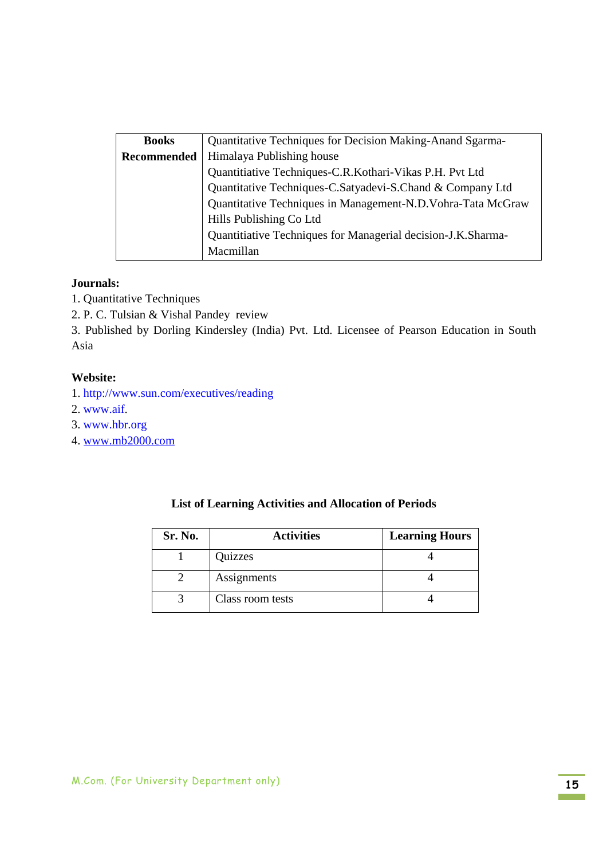| <b>Books</b> | Quantitative Techniques for Decision Making-Anand Sgarma-    |  |
|--------------|--------------------------------------------------------------|--|
| Recommended  | Himalaya Publishing house                                    |  |
|              | Quantitiative Techniques-C.R.Kothari-Vikas P.H. Pvt Ltd      |  |
|              | Quantitative Techniques-C.Satyadevi-S.Chand & Company Ltd    |  |
|              | Quantitative Techniques in Management-N.D. Vohra-Tata McGraw |  |
|              | Hills Publishing Co Ltd                                      |  |
|              | Quantitiative Techniques for Managerial decision-J.K.Sharma- |  |
|              | Macmillan                                                    |  |

### **Journals:**

- 1. Quantitative Techniques
- 2. P. C. Tulsian & Vishal Pandey review

3. Published by Dorling Kindersley (India) Pvt. Ltd. Licensee of Pearson Education in South Asia

### **Website:**

- 1. http://www.sun.com/executives/reading
- 2. www.aif.
- 3. www.hbr.org
- 4. www.mb2000.com

| Sr. No. | <b>Activities</b> | <b>Learning Hours</b> |
|---------|-------------------|-----------------------|
|         | Quizzes           |                       |
|         | Assignments       |                       |
|         | Class room tests  |                       |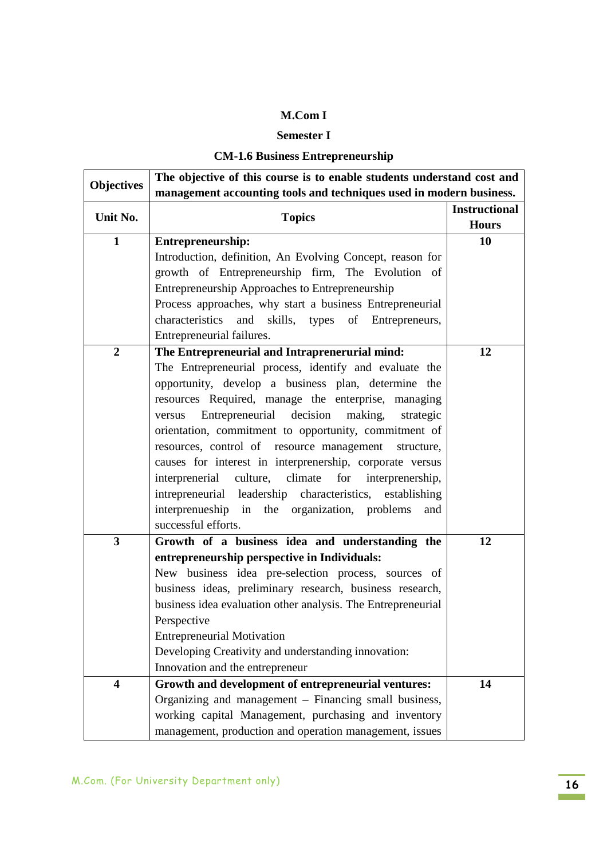## **Semester I**

## **CM-1.6 Business Entrepreneurship**

| <b>Objectives</b>       | The objective of this course is to enable students understand cost and |                      |  |  |
|-------------------------|------------------------------------------------------------------------|----------------------|--|--|
|                         | management accounting tools and techniques used in modern business.    |                      |  |  |
| Unit No.                | <b>Topics</b>                                                          | <b>Instructional</b> |  |  |
|                         |                                                                        | <b>Hours</b>         |  |  |
| $\mathbf{1}$            | Entrepreneurship:                                                      | 10                   |  |  |
|                         | Introduction, definition, An Evolving Concept, reason for              |                      |  |  |
|                         | growth of Entrepreneurship firm, The Evolution of                      |                      |  |  |
|                         | Entrepreneurship Approaches to Entrepreneurship                        |                      |  |  |
|                         | Process approaches, why start a business Entrepreneurial               |                      |  |  |
|                         | characteristics<br>and<br>skills, types of<br>Entrepreneurs,           |                      |  |  |
|                         | Entrepreneurial failures.                                              |                      |  |  |
| $\boldsymbol{2}$        | The Entrepreneurial and Intraprenerurial mind:                         | 12                   |  |  |
|                         | The Entrepreneurial process, identify and evaluate the                 |                      |  |  |
|                         | opportunity, develop a business plan, determine the                    |                      |  |  |
|                         | resources Required, manage the enterprise, managing                    |                      |  |  |
|                         | Entrepreneurial decision<br>making,<br>strategic<br>versus             |                      |  |  |
|                         | orientation, commitment to opportunity, commitment of                  |                      |  |  |
|                         | resources, control of resource management structure,                   |                      |  |  |
|                         | causes for interest in interprenership, corporate versus               |                      |  |  |
|                         | culture, climate<br>for<br>interprenerial<br>interprenership,          |                      |  |  |
|                         | intrepreneurial leadership characteristics, establishing               |                      |  |  |
|                         | interprenueship in the organization, problems<br>and                   |                      |  |  |
|                         | successful efforts.                                                    |                      |  |  |
| 3                       | Growth of a business idea and understanding the                        | 12                   |  |  |
|                         | entrepreneurship perspective in Individuals:                           |                      |  |  |
|                         | New business idea pre-selection process, sources of                    |                      |  |  |
|                         | business ideas, preliminary research, business research,               |                      |  |  |
|                         | business idea evaluation other analysis. The Entrepreneurial           |                      |  |  |
|                         | Perspective                                                            |                      |  |  |
|                         | <b>Entrepreneurial Motivation</b>                                      |                      |  |  |
|                         | Developing Creativity and understanding innovation:                    |                      |  |  |
|                         | Innovation and the entrepreneur                                        |                      |  |  |
| $\overline{\mathbf{4}}$ | Growth and development of entrepreneurial ventures:                    | 14                   |  |  |
|                         | Organizing and management – Financing small business,                  |                      |  |  |
|                         | working capital Management, purchasing and inventory                   |                      |  |  |
|                         | management, production and operation management, issues                |                      |  |  |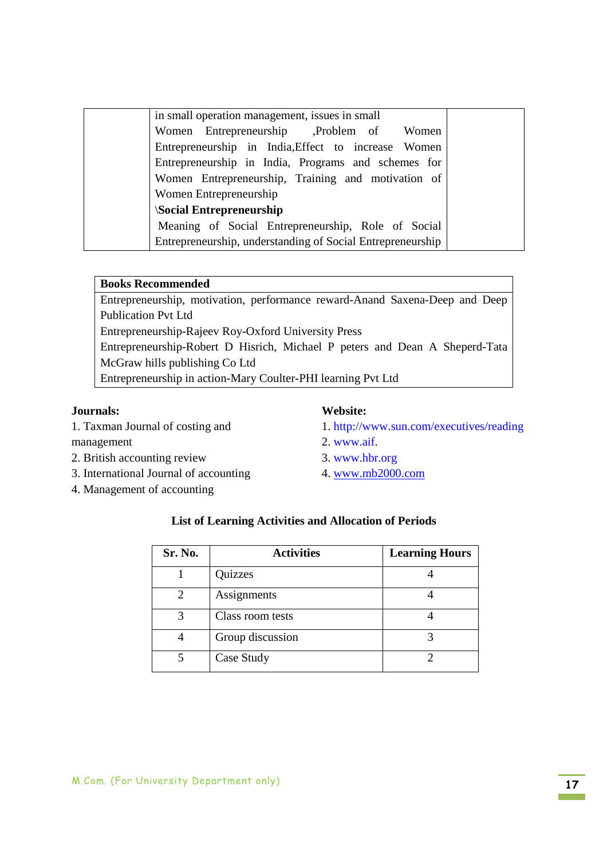| in small operation management, issues in small             |
|------------------------------------------------------------|
| Women Entrepreneurship Depression Problem of Women         |
| Entrepreneurship in India, Effect to increase Women        |
| Entrepreneurship in India, Programs and schemes for        |
| Women Entrepreneurship, Training and motivation of         |
| Women Entrepreneurship                                     |
| <b>Social Entrepreneurship</b>                             |
| Meaning of Social Entrepreneurship, Role of Social         |
| Entrepreneurship, understanding of Social Entrepreneurship |

#### **Books Recommended**

Entrepreneurship, motivation, performance reward-Anand Saxena-Deep and Deep Publication Pvt Ltd Entrepreneurship-Rajeev Roy-Oxford University Press Entrepreneurship-Robert D Hisrich, Michael P peters and Dean A Sheperd-Tata McGraw hills publishing Co Ltd Entrepreneurship in action-Mary Coulter-PHI learning Pvt Ltd

### **Journals:**

1. Taxman Journal of costing and

### management

- 2. British accounting review
- 3. International Journal of accounting
- 4. Management of accounting

#### **Website:**

- 1. http://www.sun.com/executives/reading
- 2. www.aif.
- 3. www.hbr.org
- 4. www.mb2000.com

| Sr. No. | <b>Activities</b> | <b>Learning Hours</b> |
|---------|-------------------|-----------------------|
|         | Quizzes           |                       |
|         | Assignments       |                       |
|         | Class room tests  |                       |
|         | Group discussion  |                       |
|         | Case Study        |                       |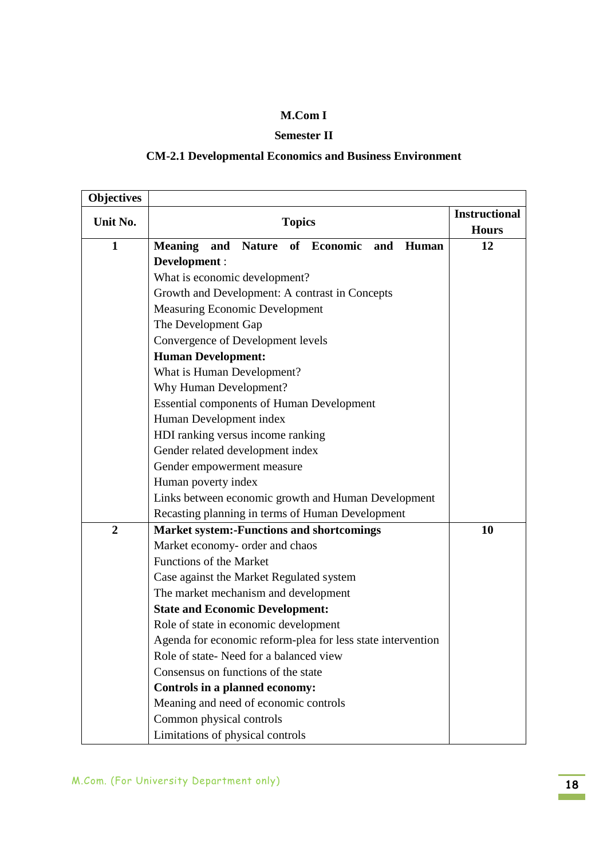## **Semester II**

# **CM-2.1 Developmental Economics and Business Environment**

| <b>Objectives</b> |                                                                              |                                      |
|-------------------|------------------------------------------------------------------------------|--------------------------------------|
| Unit No.          | <b>Topics</b>                                                                | <b>Instructional</b><br><b>Hours</b> |
| $\mathbf{1}$      | and<br><b>Nature</b><br>of Economic<br><b>Meaning</b><br>and<br><b>Human</b> | 12                                   |
|                   | Development :                                                                |                                      |
|                   | What is economic development?                                                |                                      |
|                   | Growth and Development: A contrast in Concepts                               |                                      |
|                   | <b>Measuring Economic Development</b>                                        |                                      |
|                   | The Development Gap                                                          |                                      |
|                   | Convergence of Development levels                                            |                                      |
|                   | <b>Human Development:</b>                                                    |                                      |
|                   | What is Human Development?                                                   |                                      |
|                   | Why Human Development?                                                       |                                      |
|                   | <b>Essential components of Human Development</b>                             |                                      |
|                   | Human Development index                                                      |                                      |
|                   | HDI ranking versus income ranking                                            |                                      |
|                   | Gender related development index                                             |                                      |
|                   | Gender empowerment measure                                                   |                                      |
|                   | Human poverty index                                                          |                                      |
|                   | Links between economic growth and Human Development                          |                                      |
|                   | Recasting planning in terms of Human Development                             |                                      |
| $\overline{2}$    | <b>Market system:-Functions and shortcomings</b>                             | 10                                   |
|                   | Market economy- order and chaos                                              |                                      |
|                   | <b>Functions of the Market</b>                                               |                                      |
|                   | Case against the Market Regulated system                                     |                                      |
|                   | The market mechanism and development                                         |                                      |
|                   | <b>State and Economic Development:</b>                                       |                                      |
|                   | Role of state in economic development                                        |                                      |
|                   | Agenda for economic reform-plea for less state intervention                  |                                      |
|                   | Role of state-Need for a balanced view                                       |                                      |
|                   | Consensus on functions of the state                                          |                                      |
|                   | Controls in a planned economy:                                               |                                      |
|                   | Meaning and need of economic controls                                        |                                      |
|                   | Common physical controls                                                     |                                      |
|                   | Limitations of physical controls                                             |                                      |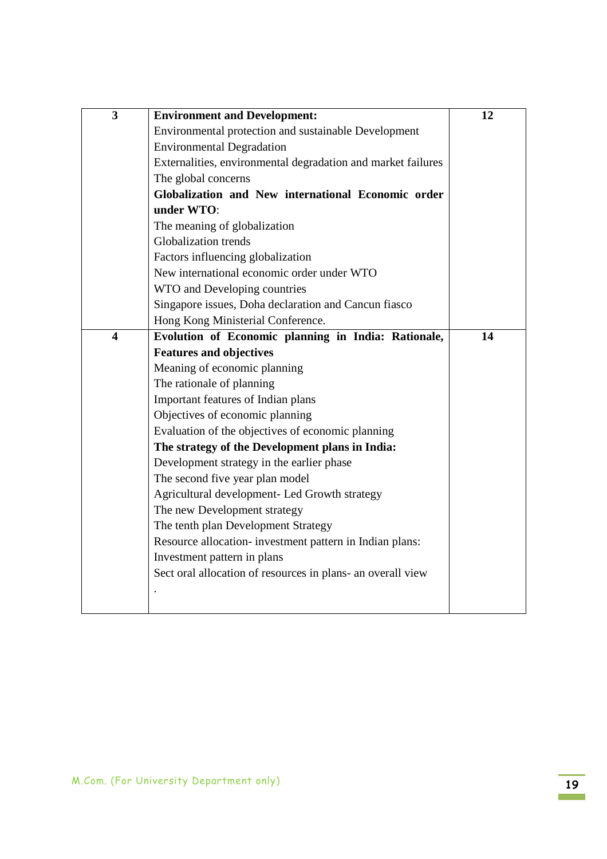| $\mathbf{3}$            | <b>Environment and Development:</b>                          | 12 |
|-------------------------|--------------------------------------------------------------|----|
|                         | Environmental protection and sustainable Development         |    |
|                         | <b>Environmental Degradation</b>                             |    |
|                         | Externalities, environmental degradation and market failures |    |
|                         | The global concerns                                          |    |
|                         | Globalization and New international Economic order           |    |
|                         | under WTO:                                                   |    |
|                         | The meaning of globalization                                 |    |
|                         | <b>Globalization</b> trends                                  |    |
|                         | Factors influencing globalization                            |    |
|                         | New international economic order under WTO                   |    |
|                         | WTO and Developing countries                                 |    |
|                         | Singapore issues, Doha declaration and Cancun fiasco         |    |
|                         | Hong Kong Ministerial Conference.                            |    |
| $\overline{\mathbf{4}}$ | Evolution of Economic planning in India: Rationale,          | 14 |
|                         | <b>Features and objectives</b>                               |    |
|                         | Meaning of economic planning                                 |    |
|                         | The rationale of planning                                    |    |
|                         | Important features of Indian plans                           |    |
|                         | Objectives of economic planning                              |    |
|                         | Evaluation of the objectives of economic planning            |    |
|                         | The strategy of the Development plans in India:              |    |
|                         | Development strategy in the earlier phase                    |    |
|                         | The second five year plan model                              |    |
|                         | Agricultural development- Led Growth strategy                |    |
|                         | The new Development strategy                                 |    |
|                         | The tenth plan Development Strategy                          |    |
|                         | Resource allocation- investment pattern in Indian plans:     |    |
|                         | Investment pattern in plans                                  |    |
|                         | Sect oral allocation of resources in plans- an overall view  |    |
|                         |                                                              |    |
|                         |                                                              |    |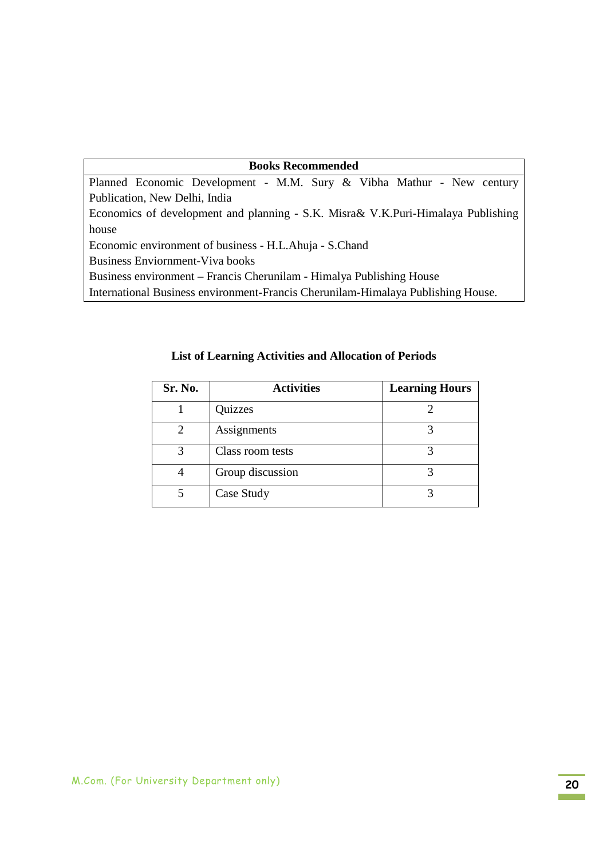| <b>Books Recommended</b>                                                          |  |  |  |
|-----------------------------------------------------------------------------------|--|--|--|
| Planned Economic Development - M.M. Sury & Vibha Mathur - New century             |  |  |  |
| Publication, New Delhi, India                                                     |  |  |  |
| Economics of development and planning - S.K. Misra & V.K.Puri-Himalaya Publishing |  |  |  |
| house                                                                             |  |  |  |
| Economic environment of business - H.L.Ahuja - S.Chand                            |  |  |  |
| <b>Business Enviornment-Viva books</b>                                            |  |  |  |
| Business environment – Francis Cherunilam - Himalya Publishing House              |  |  |  |
| International Business environment-Francis Cherunilam-Himalaya Publishing House.  |  |  |  |

| Sr. No. | <b>Activities</b> | <b>Learning Hours</b> |
|---------|-------------------|-----------------------|
|         | Quizzes           |                       |
| 2       | Assignments       |                       |
| 3       | Class room tests  |                       |
|         | Group discussion  |                       |
|         | Case Study        |                       |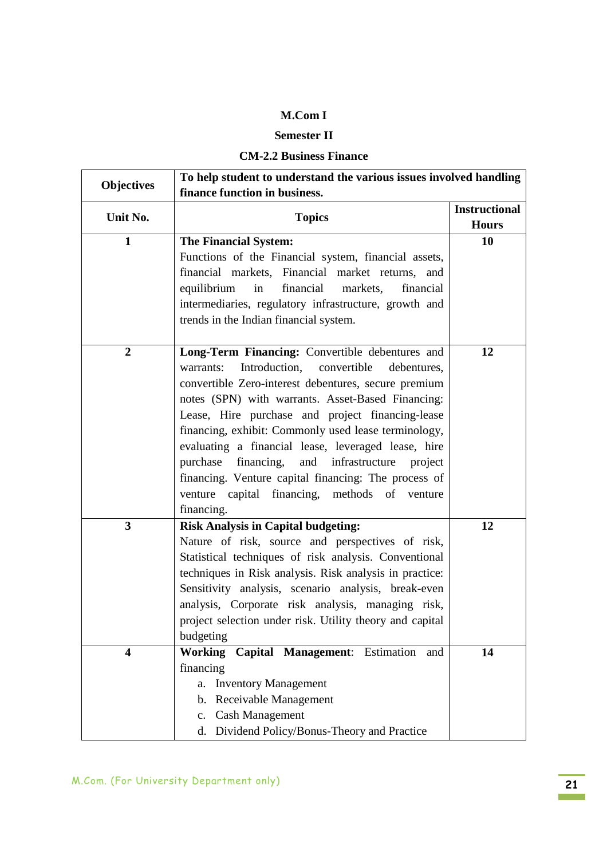## **Semester II**

# **CM-2.2 Business Finance**

| <b>Objectives</b> | To help student to understand the various issues involved handling<br>finance function in business.      |                                      |  |
|-------------------|----------------------------------------------------------------------------------------------------------|--------------------------------------|--|
|                   |                                                                                                          |                                      |  |
| Unit No.          | <b>Topics</b>                                                                                            | <b>Instructional</b><br><b>Hours</b> |  |
| $\mathbf{1}$      | <b>The Financial System:</b>                                                                             | 10                                   |  |
|                   | Functions of the Financial system, financial assets,                                                     |                                      |  |
|                   | financial markets, Financial market returns, and                                                         |                                      |  |
|                   | equilibrium<br>financial<br>markets,<br>financial<br>in                                                  |                                      |  |
|                   | intermediaries, regulatory infrastructure, growth and                                                    |                                      |  |
|                   | trends in the Indian financial system.                                                                   |                                      |  |
| $\boldsymbol{2}$  | Long-Term Financing: Convertible debentures and                                                          | 12                                   |  |
|                   | Introduction,<br>warrants:<br>convertible<br>debentures,                                                 |                                      |  |
|                   | convertible Zero-interest debentures, secure premium                                                     |                                      |  |
|                   | notes (SPN) with warrants. Asset-Based Financing:                                                        |                                      |  |
|                   | Lease, Hire purchase and project financing-lease                                                         |                                      |  |
|                   | financing, exhibit: Commonly used lease terminology,                                                     |                                      |  |
|                   | evaluating a financial lease, leveraged lease, hire                                                      |                                      |  |
|                   | financing,<br>and infrastructure<br>purchase<br>project                                                  |                                      |  |
|                   | financing. Venture capital financing: The process of                                                     |                                      |  |
|                   | venture capital financing, methods of venture                                                            |                                      |  |
|                   | financing.                                                                                               |                                      |  |
| 3                 | <b>Risk Analysis in Capital budgeting:</b>                                                               | 12                                   |  |
|                   | Nature of risk, source and perspectives of risk,                                                         |                                      |  |
|                   | Statistical techniques of risk analysis. Conventional                                                    |                                      |  |
|                   | techniques in Risk analysis. Risk analysis in practice:                                                  |                                      |  |
|                   | Sensitivity analysis, scenario analysis, break-even<br>analysis, Corporate risk analysis, managing risk, |                                      |  |
|                   | project selection under risk. Utility theory and capital                                                 |                                      |  |
|                   | budgeting                                                                                                |                                      |  |
| 4                 | Working Capital Management: Estimation<br>and                                                            | 14                                   |  |
|                   | financing                                                                                                |                                      |  |
|                   | <b>Inventory Management</b><br>a.                                                                        |                                      |  |
|                   | Receivable Management<br>$\mathbf{b}$ .                                                                  |                                      |  |
|                   | c. Cash Management                                                                                       |                                      |  |
|                   | d. Dividend Policy/Bonus-Theory and Practice                                                             |                                      |  |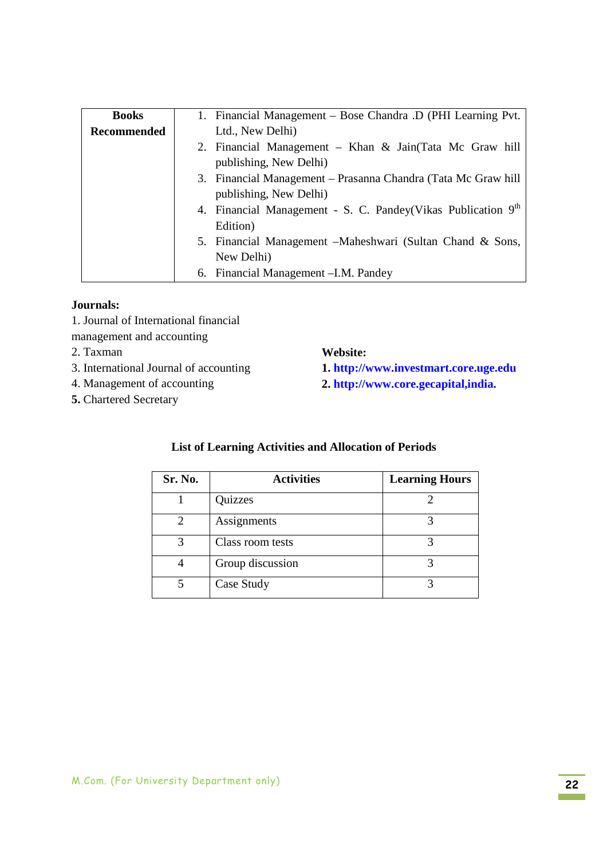| <b>Books</b>       | 1. Financial Management – Bose Chandra .D (PHI Learning Pvt.  |
|--------------------|---------------------------------------------------------------|
| <b>Recommended</b> | Ltd., New Delhi)                                              |
|                    | 2. Financial Management – Khan & Jain(Tata Mc Graw hill       |
|                    | publishing, New Delhi)                                        |
|                    | 3. Financial Management – Prasanna Chandra (Tata Mc Graw hill |
|                    | publishing, New Delhi)                                        |
|                    | 4. Financial Management - S. C. Pandey(Vikas Publication 9th  |
|                    | Edition)                                                      |
|                    | 5. Financial Management – Maheshwari (Sultan Chand & Sons,    |
|                    | New Delhi)                                                    |
|                    | 6. Financial Management - I.M. Pandey                         |

### **Journals:**

- 1. Journal of International financial
- management and accounting
- 2. Taxman
- 3. International Journal of accounting
- 4. Management of accounting
- **5.** Chartered Secretary

### **Website:**

- **1. http://www.investmart.core.uge.edu**
- **2. http://www.core.gecapital,india.**

| Sr. No. | <b>Activities</b> | <b>Learning Hours</b> |
|---------|-------------------|-----------------------|
|         | Quizzes           |                       |
|         | Assignments       |                       |
| 3       | Class room tests  |                       |
|         | Group discussion  |                       |
|         | Case Study        |                       |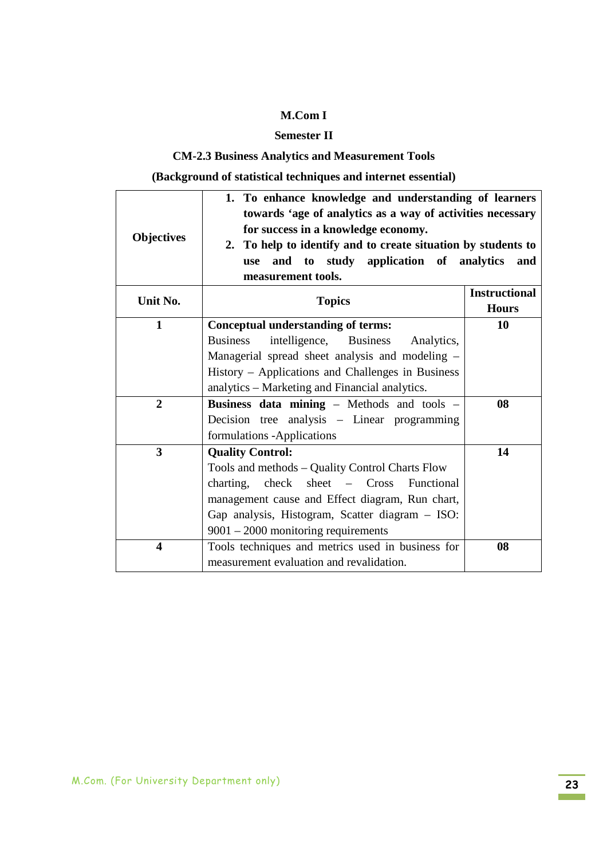## **Semester II**

## **CM-2.3 Business Analytics and Measurement Tools**

**(Background of statistical techniques and internet essential)** 

| <b>Objectives</b>       | 1. To enhance knowledge and understanding of learners<br>towards 'age of analytics as a way of activities necessary<br>for success in a knowledge economy.<br>2. To help to identify and to create situation by students to<br>and to study application of analytics<br><b>use</b><br>measurement tools. | and                                  |
|-------------------------|----------------------------------------------------------------------------------------------------------------------------------------------------------------------------------------------------------------------------------------------------------------------------------------------------------|--------------------------------------|
| Unit No.                | <b>Topics</b>                                                                                                                                                                                                                                                                                            | <b>Instructional</b><br><b>Hours</b> |
| $\mathbf{1}$            | Conceptual understanding of terms:                                                                                                                                                                                                                                                                       | 10                                   |
|                         | intelligence, Business<br><b>Business</b><br>Analytics,                                                                                                                                                                                                                                                  |                                      |
|                         | Managerial spread sheet analysis and modeling -                                                                                                                                                                                                                                                          |                                      |
|                         | History – Applications and Challenges in Business                                                                                                                                                                                                                                                        |                                      |
|                         | analytics – Marketing and Financial analytics.                                                                                                                                                                                                                                                           |                                      |
| $\overline{2}$          | Business data mining - Methods and tools -                                                                                                                                                                                                                                                               | 08                                   |
|                         | Decision tree analysis - Linear programming                                                                                                                                                                                                                                                              |                                      |
|                         | formulations - Applications                                                                                                                                                                                                                                                                              |                                      |
| 3                       | <b>Quality Control:</b>                                                                                                                                                                                                                                                                                  | 14                                   |
|                         | Tools and methods – Quality Control Charts Flow                                                                                                                                                                                                                                                          |                                      |
|                         | check sheet - Cross<br>charting,<br>Functional                                                                                                                                                                                                                                                           |                                      |
|                         | management cause and Effect diagram, Run chart,                                                                                                                                                                                                                                                          |                                      |
|                         | Gap analysis, Histogram, Scatter diagram - ISO:                                                                                                                                                                                                                                                          |                                      |
|                         | $9001 - 2000$ monitoring requirements                                                                                                                                                                                                                                                                    |                                      |
| $\overline{\mathbf{4}}$ | Tools techniques and metrics used in business for                                                                                                                                                                                                                                                        | 08                                   |
|                         | measurement evaluation and revalidation.                                                                                                                                                                                                                                                                 |                                      |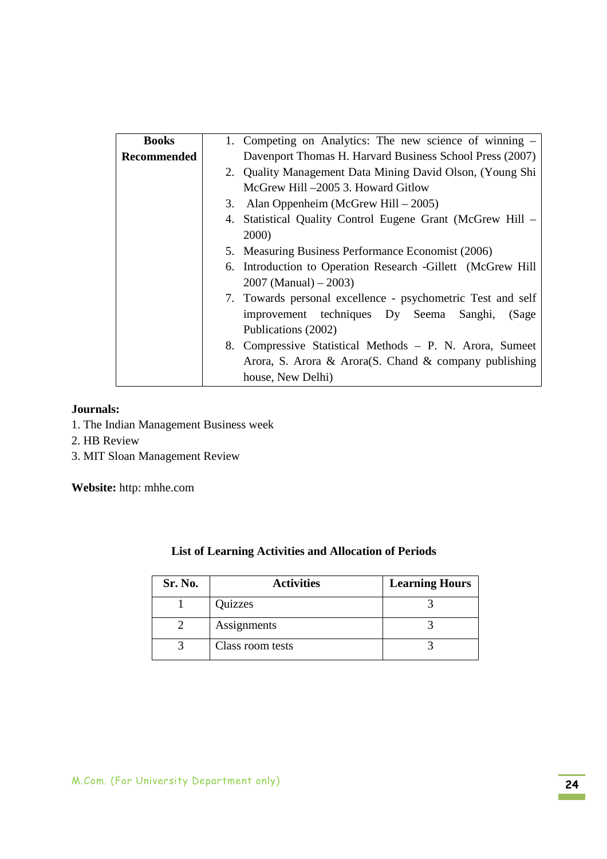| <b>Books</b>       | 1. Competing on Analytics: The new science of winning –      |
|--------------------|--------------------------------------------------------------|
| <b>Recommended</b> | Davenport Thomas H. Harvard Business School Press (2007)     |
|                    | 2. Quality Management Data Mining David Olson, (Young Shi    |
|                    | McGrew Hill -2005 3. Howard Gitlow                           |
|                    | Alan Oppenheim (McGrew Hill - 2005)<br>3.                    |
|                    | 4. Statistical Quality Control Eugene Grant (McGrew Hill –   |
|                    | 2000)                                                        |
|                    | 5. Measuring Business Performance Economist (2006)           |
|                    | 6. Introduction to Operation Research - Gillett (McGrew Hill |
|                    | $2007$ (Manual) $- 2003$ )                                   |
|                    | 7. Towards personal excellence - psychometric Test and self  |
|                    | improvement techniques Dy Seema Sanghi,<br>(Sage             |
|                    | Publications (2002)                                          |
|                    | 8. Compressive Statistical Methods – P. N. Arora, Sumeet     |
|                    | Arora, S. Arora & Arora(S. Chand & company publishing        |
|                    | house, New Delhi)                                            |

### **Journals:**

- 1. The Indian Management Business week
- 2. HB Review
- 3. MIT Sloan Management Review

**Website:** http: mhhe.com

| Sr. No. | <b>Activities</b> | <b>Learning Hours</b> |
|---------|-------------------|-----------------------|
|         | Quizzes           |                       |
|         | Assignments       |                       |
|         | Class room tests  |                       |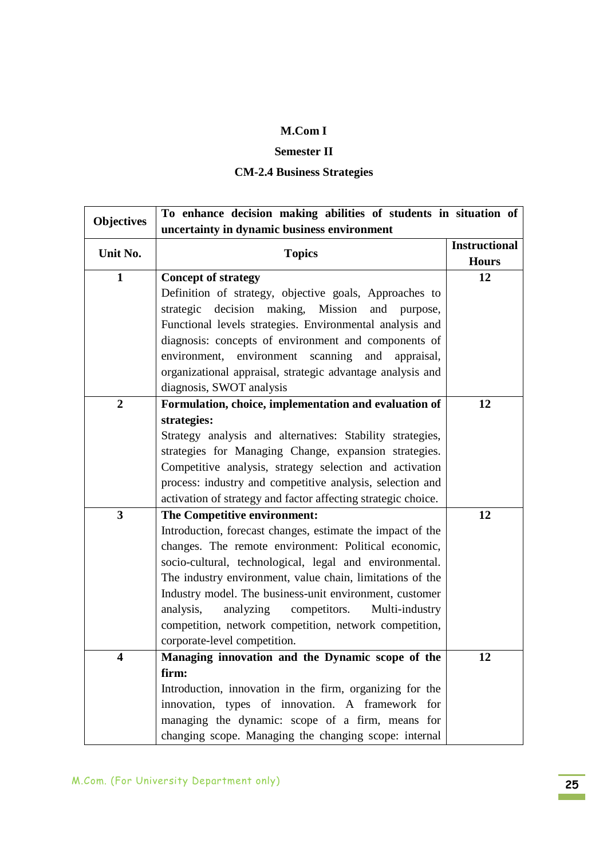#### **Semester II**

## **CM-2.4 Business Strategies**

| <b>Objectives</b> | To enhance decision making abilities of students in situation of<br>uncertainty in dynamic business environment |                      |  |
|-------------------|-----------------------------------------------------------------------------------------------------------------|----------------------|--|
|                   |                                                                                                                 |                      |  |
| Unit No.          | <b>Topics</b>                                                                                                   | <b>Instructional</b> |  |
|                   |                                                                                                                 | <b>Hours</b>         |  |
| 1                 | <b>Concept of strategy</b>                                                                                      | 12                   |  |
|                   | Definition of strategy, objective goals, Approaches to                                                          |                      |  |
|                   | strategic decision making, Mission<br>and purpose,                                                              |                      |  |
|                   | Functional levels strategies. Environmental analysis and                                                        |                      |  |
|                   | diagnosis: concepts of environment and components of                                                            |                      |  |
|                   | environment, environment scanning<br>and<br>appraisal,                                                          |                      |  |
|                   | organizational appraisal, strategic advantage analysis and                                                      |                      |  |
|                   | diagnosis, SWOT analysis                                                                                        |                      |  |
| $\overline{2}$    | Formulation, choice, implementation and evaluation of                                                           | 12                   |  |
|                   | strategies:                                                                                                     |                      |  |
|                   | Strategy analysis and alternatives: Stability strategies,                                                       |                      |  |
|                   | strategies for Managing Change, expansion strategies.                                                           |                      |  |
|                   | Competitive analysis, strategy selection and activation                                                         |                      |  |
|                   | process: industry and competitive analysis, selection and                                                       |                      |  |
|                   | activation of strategy and factor affecting strategic choice.                                                   |                      |  |
| 3                 | The Competitive environment:                                                                                    | 12                   |  |
|                   | Introduction, forecast changes, estimate the impact of the                                                      |                      |  |
|                   | changes. The remote environment: Political economic,                                                            |                      |  |
|                   | socio-cultural, technological, legal and environmental.                                                         |                      |  |
|                   | The industry environment, value chain, limitations of the                                                       |                      |  |
|                   | Industry model. The business-unit environment, customer                                                         |                      |  |
|                   | competitors.<br>analysis,<br>analyzing<br>Multi-industry                                                        |                      |  |
|                   | competition, network competition, network competition,                                                          |                      |  |
|                   | corporate-level competition.                                                                                    |                      |  |
| 4                 | Managing innovation and the Dynamic scope of the                                                                | 12                   |  |
|                   | firm:                                                                                                           |                      |  |
|                   | Introduction, innovation in the firm, organizing for the                                                        |                      |  |
|                   | innovation, types of innovation. A framework for                                                                |                      |  |
|                   | managing the dynamic: scope of a firm, means for                                                                |                      |  |
|                   | changing scope. Managing the changing scope: internal                                                           |                      |  |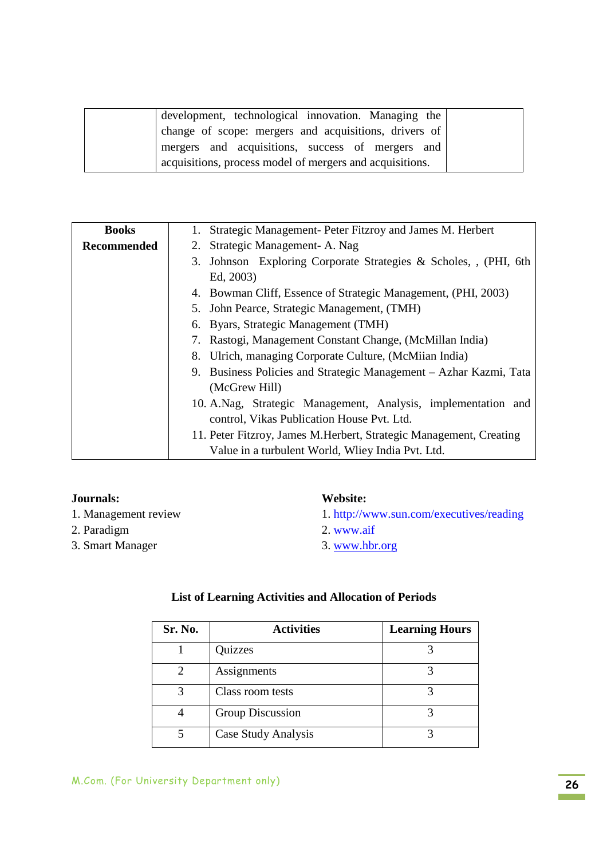| development, technological innovation. Managing the      |
|----------------------------------------------------------|
| change of scope: mergers and acquisitions, drivers of    |
| mergers and acquisitions, success of mergers and         |
| acquisitions, process model of mergers and acquisitions. |

| <b>Books</b>       | 1. Strategic Management- Peter Fitzroy and James M. Herbert         |
|--------------------|---------------------------------------------------------------------|
| <b>Recommended</b> | 2. Strategic Management-A. Nag                                      |
|                    | 3. Johnson Exploring Corporate Strategies & Scholes, , (PHI, 6th    |
|                    | Ed. 2003)                                                           |
|                    | 4. Bowman Cliff, Essence of Strategic Management, (PHI, 2003)       |
|                    | 5. John Pearce, Strategic Management, (TMH)                         |
|                    | 6. Byars, Strategic Management (TMH)                                |
|                    | 7. Rastogi, Management Constant Change, (McMillan India)            |
|                    | 8. Ulrich, managing Corporate Culture, (McMiian India)              |
|                    | 9. Business Policies and Strategic Management – Azhar Kazmi, Tata   |
|                    | (McGrew Hill)                                                       |
|                    | 10. A.Nag, Strategic Management, Analysis, implementation and       |
|                    | control, Vikas Publication House Pvt. Ltd.                          |
|                    | 11. Peter Fitzroy, James M. Herbert, Strategic Management, Creating |
|                    | Value in a turbulent World, Wliey India Pvt. Ltd.                   |

- 1. Management review
- 2. Paradigm
- 3. Smart Manager

### **Website:**

- 1. http://www.sun.com/executives/reading
- 2. www.aif
- 3. www.hbr.org

| Sr. No. | <b>Activities</b>   | <b>Learning Hours</b> |
|---------|---------------------|-----------------------|
|         | Quizzes             |                       |
|         | Assignments         |                       |
| 3       | Class room tests    |                       |
|         | Group Discussion    |                       |
|         | Case Study Analysis |                       |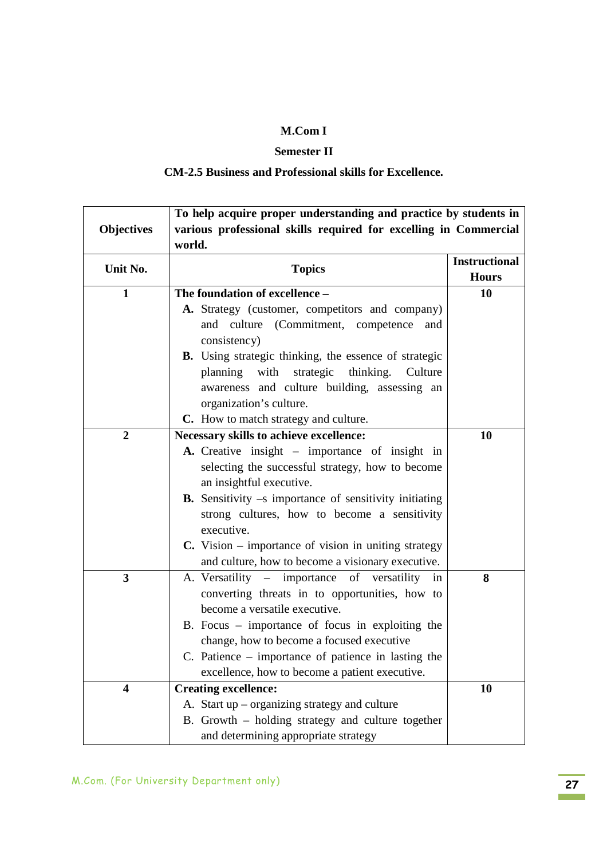### **Semester II**

## **CM-2.5 Business and Professional skills for Excellence.**

|                   | To help acquire proper understanding and practice by students in                                                 |                      |  |
|-------------------|------------------------------------------------------------------------------------------------------------------|----------------------|--|
| <b>Objectives</b> | various professional skills required for excelling in Commercial<br>world.                                       |                      |  |
|                   |                                                                                                                  |                      |  |
| Unit No.          | <b>Topics</b>                                                                                                    | <b>Instructional</b> |  |
|                   |                                                                                                                  | <b>Hours</b>         |  |
| $\mathbf{1}$      | The foundation of excellence -                                                                                   | 10                   |  |
|                   | A. Strategy (customer, competitors and company)                                                                  |                      |  |
|                   | and culture (Commitment, competence<br>and                                                                       |                      |  |
|                   | consistency)                                                                                                     |                      |  |
|                   | <b>B.</b> Using strategic thinking, the essence of strategic                                                     |                      |  |
|                   | planning with<br>strategic thinking. Culture                                                                     |                      |  |
|                   | awareness and culture building, assessing an                                                                     |                      |  |
|                   | organization's culture.                                                                                          |                      |  |
|                   | C. How to match strategy and culture.                                                                            |                      |  |
| $\boldsymbol{2}$  | Necessary skills to achieve excellence:                                                                          | 10                   |  |
|                   | A. Creative insight – importance of insight in                                                                   |                      |  |
|                   | selecting the successful strategy, how to become                                                                 |                      |  |
|                   | an insightful executive.                                                                                         |                      |  |
|                   | <b>B.</b> Sensitivity $-s$ importance of sensitivity initiating                                                  |                      |  |
|                   | strong cultures, how to become a sensitivity<br>executive.                                                       |                      |  |
|                   |                                                                                                                  |                      |  |
|                   | <b>C.</b> Vision – importance of vision in uniting strategy<br>and culture, how to become a visionary executive. |                      |  |
| 3                 | A. Versatility – importance of versatility<br>in                                                                 | 8                    |  |
|                   | converting threats in to opportunities, how to                                                                   |                      |  |
|                   | become a versatile executive.                                                                                    |                      |  |
|                   | B. Focus $-$ importance of focus in exploiting the                                                               |                      |  |
|                   | change, how to become a focused executive                                                                        |                      |  |
|                   | C. Patience – importance of patience in lasting the                                                              |                      |  |
|                   | excellence, how to become a patient executive.                                                                   |                      |  |
| 4                 | <b>Creating excellence:</b>                                                                                      | 10                   |  |
|                   | A. Start up – organizing strategy and culture                                                                    |                      |  |
|                   | B. Growth – holding strategy and culture together                                                                |                      |  |
|                   | and determining appropriate strategy                                                                             |                      |  |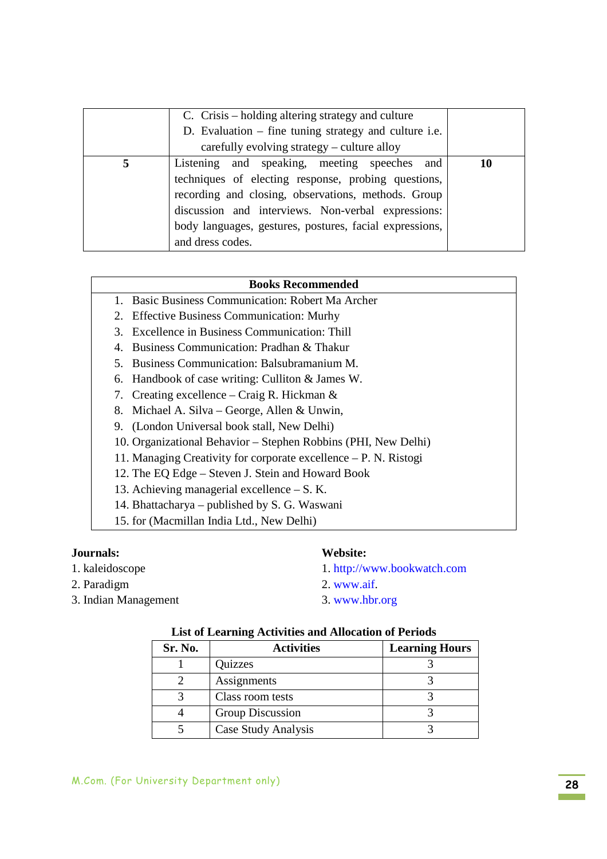|   | C. Crisis – holding altering strategy and culture       |    |
|---|---------------------------------------------------------|----|
|   | D. Evaluation – fine tuning strategy and culture i.e.   |    |
|   | carefully evolving strategy – culture alloy             |    |
| 5 | Listening and speaking, meeting speeches and            | 10 |
|   | techniques of electing response, probing questions,     |    |
|   | recording and closing, observations, methods. Group     |    |
|   | discussion and interviews. Non-verbal expressions:      |    |
|   | body languages, gestures, postures, facial expressions, |    |
|   | and dress codes.                                        |    |

#### **Books Recommended**

- 1. Basic Business Communication: Robert Ma Archer
- 2. Effective Business Communication: Murhy
- 3. Excellence in Business Communication: Thill
- 4. Business Communication: Pradhan & Thakur
- 5. Business Communication: Balsubramanium M.
- 6. Handbook of case writing: Culliton & James W.
- 7. Creating excellence Craig R. Hickman &
- 8. Michael A. Silva George, Allen & Unwin,
- 9. (London Universal book stall, New Delhi)
- 10. Organizational Behavior Stephen Robbins (PHI, New Delhi)
- 11. Managing Creativity for corporate excellence P. N. Ristogi
- 12. The EQ Edge Steven J. Stein and Howard Book
- 13. Achieving managerial excellence S. K.
- 14. Bhattacharya published by S. G. Waswani
- 15. for (Macmillan India Ltd., New Delhi)

#### **Journals:**

- 1. kaleidoscope
- 2. Paradigm
- 3. Indian Management

#### **Website:**

- 1. http://www.bookwatch.com
- 2. www.aif.
- 3. www.hbr.org

| Sr. No. | <b>Activities</b>   | <b>Learning Hours</b> |
|---------|---------------------|-----------------------|
|         | Quizzes             |                       |
|         | Assignments         |                       |
|         | Class room tests    |                       |
|         | Group Discussion    |                       |
|         | Case Study Analysis |                       |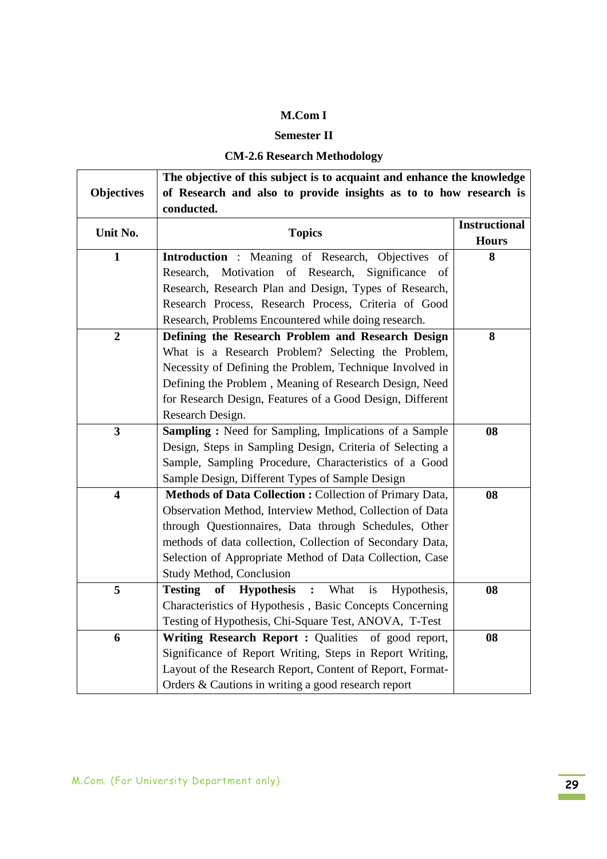# **Semester II**

## **CM-2.6 Research Methodology**

|                         | The objective of this subject is to acquaint and enhance the knowledge             |                      |  |  |
|-------------------------|------------------------------------------------------------------------------------|----------------------|--|--|
| <b>Objectives</b>       | of Research and also to provide insights as to to how research is                  |                      |  |  |
|                         | conducted.                                                                         |                      |  |  |
| Unit No.                | <b>Topics</b>                                                                      | <b>Instructional</b> |  |  |
|                         |                                                                                    | <b>Hours</b>         |  |  |
| $\mathbf{1}$            | <b>Introduction</b> : Meaning of Research, Objectives<br>of                        | 8                    |  |  |
|                         | Motivation of Research, Significance<br>Research,<br>of                            |                      |  |  |
|                         | Research, Research Plan and Design, Types of Research,                             |                      |  |  |
|                         | Research Process, Research Process, Criteria of Good                               |                      |  |  |
|                         | Research, Problems Encountered while doing research.                               |                      |  |  |
| $\boldsymbol{2}$        | Defining the Research Problem and Research Design                                  | 8                    |  |  |
|                         | What is a Research Problem? Selecting the Problem,                                 |                      |  |  |
|                         | Necessity of Defining the Problem, Technique Involved in                           |                      |  |  |
|                         | Defining the Problem, Meaning of Research Design, Need                             |                      |  |  |
|                         | for Research Design, Features of a Good Design, Different                          |                      |  |  |
|                         | Research Design.                                                                   |                      |  |  |
| $\mathbf{3}$            | <b>Sampling:</b> Need for Sampling, Implications of a Sample                       | 08                   |  |  |
|                         | Design, Steps in Sampling Design, Criteria of Selecting a                          |                      |  |  |
|                         | Sample, Sampling Procedure, Characteristics of a Good                              |                      |  |  |
|                         | Sample Design, Different Types of Sample Design                                    |                      |  |  |
| $\overline{\mathbf{4}}$ | Methods of Data Collection: Collection of Primary Data,                            | 08                   |  |  |
|                         | Observation Method, Interview Method, Collection of Data                           |                      |  |  |
|                         | through Questionnaires, Data through Schedules, Other                              |                      |  |  |
|                         | methods of data collection, Collection of Secondary Data,                          |                      |  |  |
|                         | Selection of Appropriate Method of Data Collection, Case                           |                      |  |  |
|                         | Study Method, Conclusion                                                           |                      |  |  |
| 5                       | <b>Testing</b><br><b>Hypothesis</b> : What<br><b>of</b><br>is<br>Hypothesis,<br>08 |                      |  |  |
|                         | Characteristics of Hypothesis, Basic Concepts Concerning                           |                      |  |  |
|                         | Testing of Hypothesis, Chi-Square Test, ANOVA, T-Test                              |                      |  |  |
| 6                       | Writing Research Report : Qualities of good report,                                | 08                   |  |  |
|                         | Significance of Report Writing, Steps in Report Writing,                           |                      |  |  |
|                         | Layout of the Research Report, Content of Report, Format-                          |                      |  |  |
|                         | Orders & Cautions in writing a good research report                                |                      |  |  |